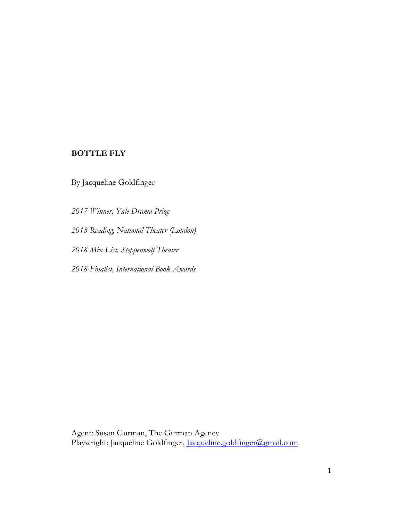## **BOTTLE FLY**

By Jacqueline Goldfinger

 *Winner, Yale Drama Prize Reading, National Theater (London) Mix List, Steppenwolf Theater Finalist, International Book Awards*

Agent: Susan Gurman, The Gurman Agency Playwright: Jacqueline Goldfinger, Jacqueline.goldfinger@gmail.com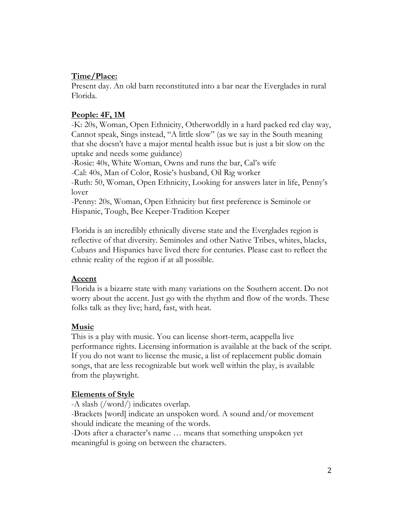## **Time/Place:**

Present day. An old barn reconstituted into a bar near the Everglades in rural Florida.

## **People: 4F, 1M**

-K: 20s, Woman, Open Ethnicity, Otherworldly in a hard packed red clay way, Cannot speak, Sings instead, "A little slow" (as we say in the South meaning that she doesn't have a major mental health issue but is just a bit slow on the uptake and needs some guidance)

-Rosie: 40s, White Woman, Owns and runs the bar, Cal's wife

-Cal: 40s, Man of Color, Rosie's husband, Oil Rig worker

-Ruth: 50, Woman, Open Ethnicity, Looking for answers later in life, Penny's lover

-Penny: 20s, Woman, Open Ethnicity but first preference is Seminole or Hispanic, Tough, Bee Keeper-Tradition Keeper

Florida is an incredibly ethnically diverse state and the Everglades region is reflective of that diversity. Seminoles and other Native Tribes, whites, blacks, Cubans and Hispanics have lived there for centuries. Please cast to reflect the ethnic reality of the region if at all possible.

## **Accent**

Florida is a bizarre state with many variations on the Southern accent. Do not worry about the accent. Just go with the rhythm and flow of the words. These folks talk as they live; hard, fast, with heat.

## **Music**

This is a play with music. You can license short-term, acappella live performance rights. Licensing information is available at the back of the script. If you do not want to license the music, a list of replacement public domain songs, that are less recognizable but work well within the play, is available from the playwright.

## **Elements of Style**

-A slash (/word/) indicates overlap.

-Brackets [word] indicate an unspoken word. A sound and/or movement should indicate the meaning of the words.

-Dots after a character's name … means that something unspoken yet meaningful is going on between the characters.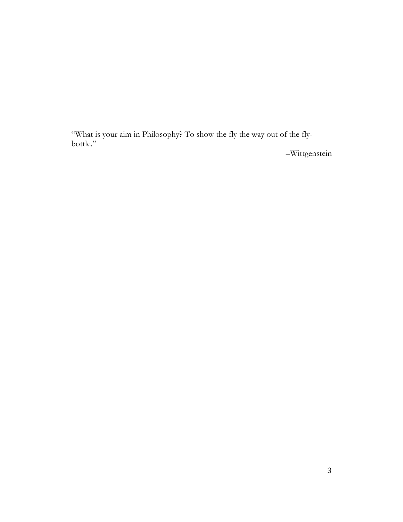"What is your aim in Philosophy? To show the fly the way out of the flybottle."

–Wittgenstein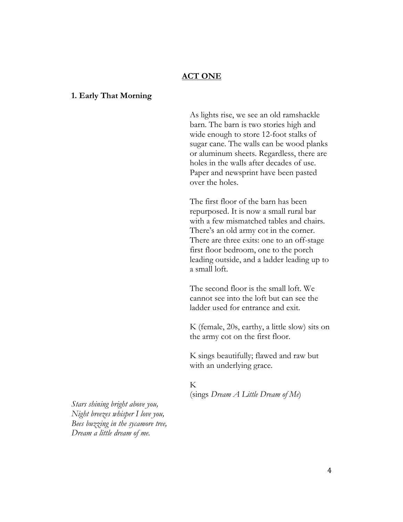#### **ACT ONE**

#### **1. Early That Morning**

As lights rise, we see an old ramshackle barn. The barn is two stories high and wide enough to store 12-foot stalks of sugar cane. The walls can be wood planks or aluminum sheets. Regardless, there are holes in the walls after decades of use. Paper and newsprint have been pasted over the holes.

The first floor of the barn has been repurposed. It is now a small rural bar with a few mismatched tables and chairs. There's an old army cot in the corner. There are three exits: one to an off-stage first floor bedroom, one to the porch leading outside, and a ladder leading up to a small loft.

The second floor is the small loft. We cannot see into the loft but can see the ladder used for entrance and exit.

K (female, 20s, earthy, a little slow) sits on the army cot on the first floor.

K sings beautifully; flawed and raw but with an underlying grace.

#### K

(sings *Dream A Little Dream of Me*)

*Stars shining bright above you, Night breezes whisper I love you, Bees buzzing in the sycamore tree, Dream a little dream of me.*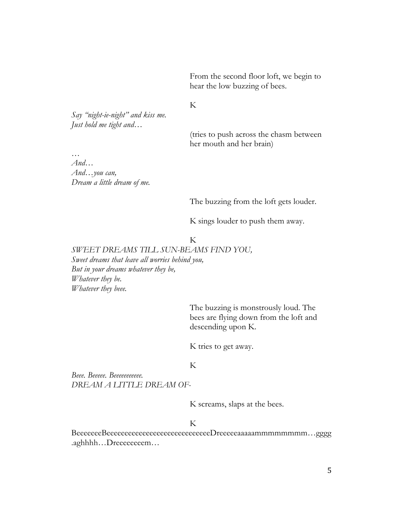From the second floor loft, we begin to hear the low buzzing of bees.

## K

*Say "night-ie-night" and kiss me. Just hold me tight and…*

> (tries to push across the chasm between her mouth and her brain)

*And… And…you can, Dream a little dream of me.*

*…*

The buzzing from the loft gets louder.

K sings louder to push them away.

K

*SWEET DREAMS TILL SUN-BEAMS FIND YOU, Sweet dreams that leave all worries behind you, But in your dreams whatever they be, Whatever they be. Whatever they beee.*

> The buzzing is monstrously loud. The bees are flying down from the loft and descending upon K.

K tries to get away.

#### K

*Beee. Beeeee. Beeeeeeeeeee. DREAM A LITTLE DREAM OF-*

K screams, slaps at the bees.

#### K

BeeeeeeBeeeeeeeeeeeeeeeeeeeeeeeeeeeeDreeeeaaaaammmmmmmm...gggg .aghhhh…Dreeeeeeeem…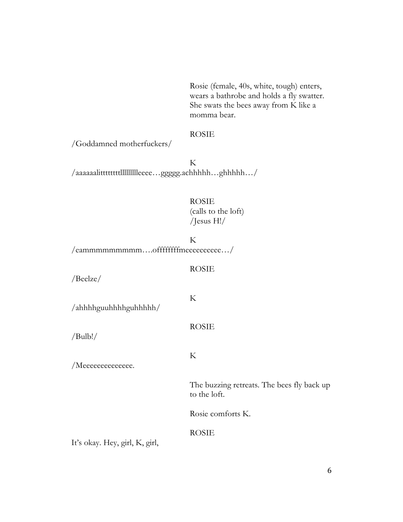Rosie (female, 40s, white, tough) enters, wears a bathrobe and holds a fly swatter. She swats the bees away from K like a momma bear.

## ROSIE

/Goddamned motherfuckers/

K /aaaaaalittttttttllllllllleeee…ggggg.achhhhh…ghhhhh…/

## ROSIE (calls to the loft) /Jesus H!/

K

/eammmmmmmmm….offffffffmeeeeeeeeee…/

## ROSIE

/Beelze/

/ahhhhguuhhhhguhhhhh/

ROSIE

K

K

/Bulb!/

/Meeeeeeeeeeee.

The buzzing retreats. The bees fly back up to the loft.

Rosie comforts K.

#### ROSIE

It's okay. Hey, girl, K, girl,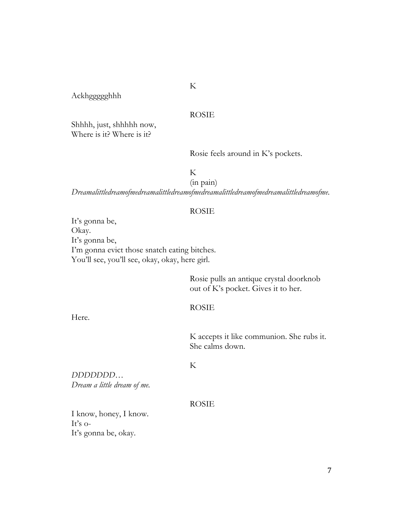Ackhggggghhh

K

#### ROSIE

Shhhh, just, shhhhh now, Where is it? Where is it?

Rosie feels around in K's pockets.

## K

(in pain)

*Dreamalittledreamofmedreamalittledreamofmedreamalittledreamofmedreamalittledreamofme*.

## ROSIE

It's gonna be, Okay. It's gonna be, I'm gonna evict those snatch eating bitches. You'll see, you'll see, okay, okay, here girl.

> Rosie pulls an antique crystal doorknob out of K's pocket. Gives it to her.

#### ROSIE

Here.

K accepts it like communion. She rubs it. She calms down.

#### K

*DDDDDDD… Dream a little dream of me.*

#### ROSIE

I know, honey, I know. It's o-It's gonna be, okay.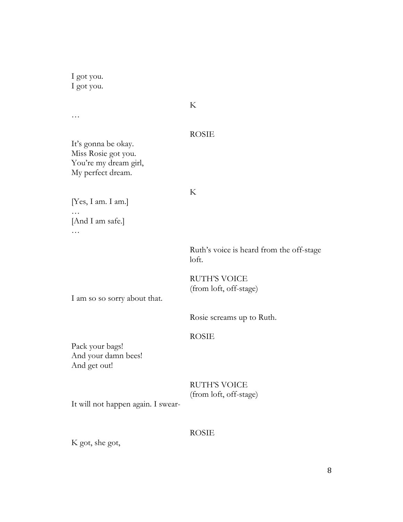I got you. I got you.

K

…

#### ROSIE

It's gonna be okay. Miss Rosie got you. You're my dream girl, My perfect dream.

## K

[Yes, I am. I am.] … [And I am safe.] …

> Ruth's voice is heard from the off-stage loft.

RUTH'S VOICE (from loft, off-stage)

I am so so sorry about that.

Rosie screams up to Ruth.

#### ROSIE

Pack your bags! And your damn bees! And get out!

> RUTH'S VOICE (from loft, off-stage)

It will not happen again. I swear-

## ROSIE

K got, she got,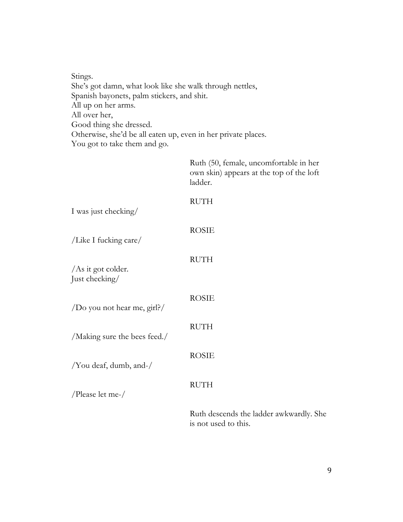Stings. She's got damn, what look like she walk through nettles, Spanish bayonets, palm stickers, and shit. All up on her arms. All over her, Good thing she dressed. Otherwise, she'd be all eaten up, even in her private places. You got to take them and go.

Ruth (50, female, uncomfortable in her own skin) appears at the top of the loft ladder. RUTH I was just checking/ ROSIE /Like I fucking care/ RUTH /As it got colder. Just checking/ ROSIE /Do you not hear me, girl?/ RUTH /Making sure the bees feed./ ROSIE /You deaf, dumb, and-/ RUTH /Please let me-/ Ruth descends the ladder awkwardly. She is not used to this.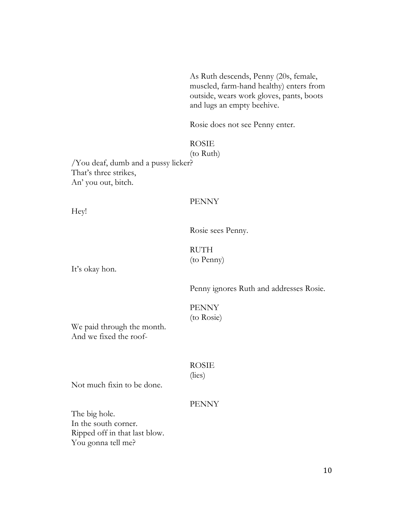As Ruth descends, Penny (20s, female, muscled, farm-hand healthy) enters from outside, wears work gloves, pants, boots and lugs an empty beehive.

Rosie does not see Penny enter.

#### ROSIE

(to Ruth)

/You deaf, dumb and a pussy licker? That's three strikes, An' you out, bitch.

## PENNY

Hey!

Rosie sees Penny.

RUTH (to Penny)

It's okay hon.

Penny ignores Ruth and addresses Rosie.

PENNY (to Rosie)

We paid through the month. And we fixed the roof-

> ROSIE (lies)

Not much fixin to be done.

## PENNY

The big hole. In the south corner. Ripped off in that last blow. You gonna tell me?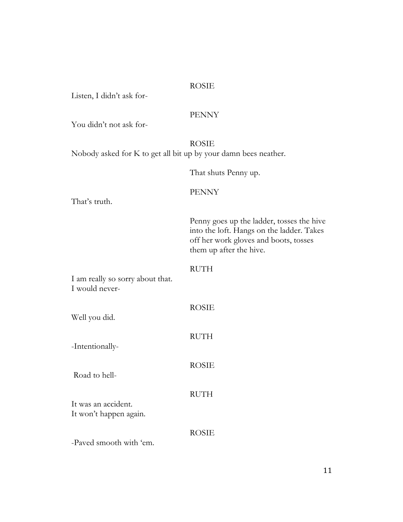#### ROSIE

Listen, I didn't ask for-

#### PENNY

You didn't not ask for-

ROSIE Nobody asked for K to get all bit up by your damn bees neather.

That shuts Penny up.

## PENNY

RUTH

ROSIE

RUTH

ROSIE

RUTH

That's truth.

Penny goes up the ladder, tosses the hive into the loft. Hangs on the ladder. Takes off her work gloves and boots, tosses them up after the hive.

I am really so sorry about that. I would never-

Well you did.

-Intentionally-

Road to hell-

It was an accident. It won't happen again.

#### ROSIE

-Paved smooth with 'em.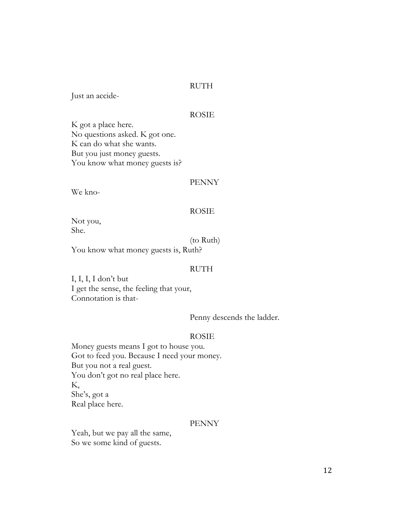#### RUTH

Just an accide-

#### ROSIE

K got a place here. No questions asked. K got one. K can do what she wants. But you just money guests. You know what money guests is?

#### PENNY

We kno-

## ROSIE

Not you, She.

(to Ruth)

You know what money guests is, Ruth?

#### RUTH

I, I, I, I don't but I get the sense, the feeling that your, Connotation is that-

Penny descends the ladder.

#### ROSIE

Money guests means I got to house you. Got to feed you. Because I need your money. But you not a real guest. You don't got no real place here. K, She's, got a Real place here.

#### PENNY

Yeah, but we pay all the same, So we some kind of guests.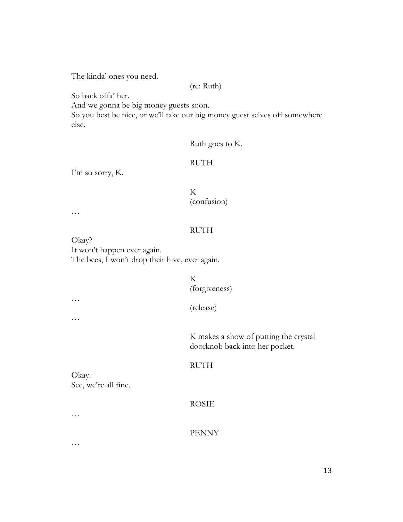The kinda' ones you need.

(re: Ruth)

So back offa' her.

And we gonna be big money guests soon.

So you best be nice, or we'll take our big money guest selves off somewhere else.

### Ruth goes to K.

#### RUTH

I'm so sorry, K.

K (confusion)

…

### RUTH

Okay? It won't happen ever again. The bees, I won't drop their hive, ever again.

> K (forgiveness)

… …

## (release)

K makes a show of putting the crystal doorknob back into her pocket.

## RUTH

Okay. See, we're all fine.

## ROSIE

PENNY

…

…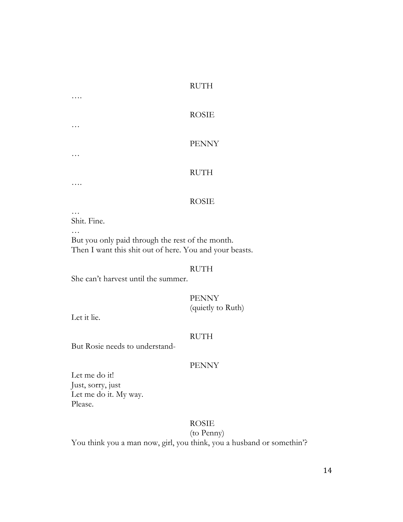RUTH

ROSIE

## PENNY

## RUTH

## ROSIE

… Shit. Fine.

…

….

…

…

….

But you only paid through the rest of the month. Then I want this shit out of here. You and your beasts.

## RUTH

She can't harvest until the summer.

## PENNY

(quietly to Ruth)

Let it lie.

## RUTH

But Rosie needs to understand-

## PENNY

Let me do it! Just, sorry, just Let me do it. My way. Please.

## ROSIE

(to Penny)

You think you a man now, girl, you think, you a husband or somethin'?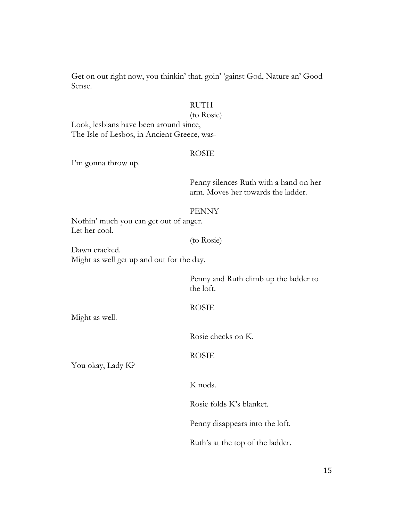Get on out right now, you thinkin' that, goin' 'gainst God, Nature an' Good Sense.

## RUTH

#### (to Rosie)

Look, lesbians have been around since, The Isle of Lesbos, in Ancient Greece, was-

#### ROSIE

I'm gonna throw up.

Penny silences Ruth with a hand on her arm. Moves her towards the ladder.

## PENNY

Nothin' much you can get out of anger. Let her cool.

## (to Rosie)

Dawn cracked. Might as well get up and out for the day.

> Penny and Ruth climb up the ladder to the loft.

#### ROSIE

Might as well.

Rosie checks on K.

ROSIE

You okay, Lady K?

K nods.

Rosie folds K's blanket.

Penny disappears into the loft.

Ruth's at the top of the ladder.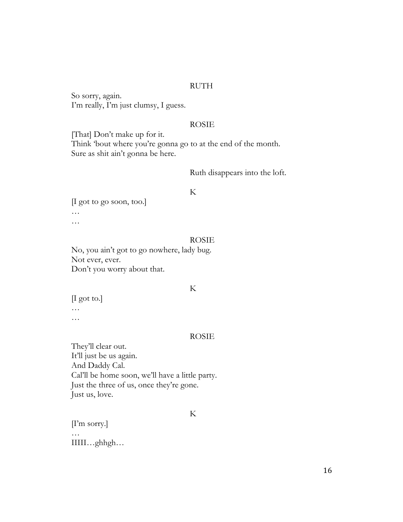#### RUTH

So sorry, again. I'm really, I'm just clumsy, I guess.

## ROSIE

[That] Don't make up for it. Think 'bout where you're gonna go to at the end of the month. Sure as shit ain't gonna be here.

Ruth disappears into the loft.

## K

[I got to go soon, too.]

…

…

#### ROSIE

No, you ain't got to go nowhere, lady bug. Not ever, ever. Don't you worry about that.

#### K

[I got to.] …

…

#### ROSIE

They'll clear out. It'll just be us again. And Daddy Cal. Cal'll be home soon, we'll have a little party. Just the three of us, once they're gone. Just us, love.

## K

[I'm sorry.] … IIIII…ghhgh…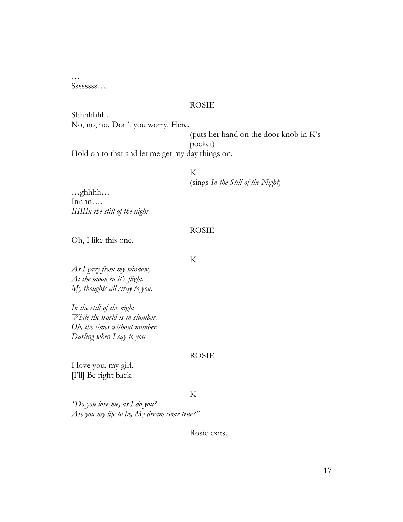… Ssssssss….

## ROSIE

Shhhhhhh… No, no, no. Don't you worry. Here.

> (puts her hand on the door knob in K's pocket)

Hold on to that and let me get my day things on.

K (sings *In the Still of the Night*)

…ghhhh… Innnn…. *IIIIIIn the still of the night*

#### ROSIE

Oh, I like this one.

K

*As I gaze from my window, At the moon in it's flight, My thoughts all stray to you.*

*In the still of the night While the world is in slumber, Oh, the times without number, Darling when I say to you*

#### ROSIE

I love you, my girl. [I'll] Be right back.

#### K

*"Do you love me, as I do you? Are you my life to be, My dream come true?"*

Rosie exits.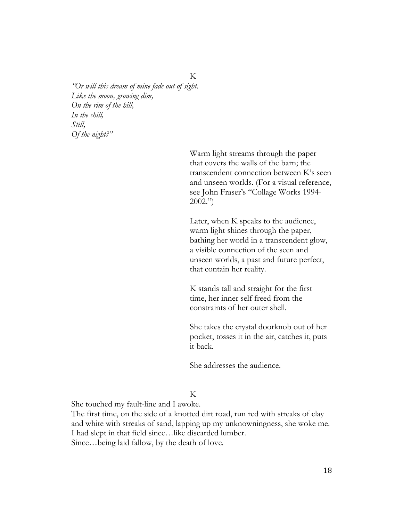*"Or will this dream of mine fade out of sight. Like the moon, growing dim, On the rim of the hill, In the chill, Still, Of the night?"*

> Warm light streams through the paper that covers the walls of the barn; the transcendent connection between K's seen and unseen worlds. (For a visual reference, see John Fraser's "Collage Works 1994- 2002.")

Later, when K speaks to the audience, warm light shines through the paper, bathing her world in a transcendent glow, a visible connection of the seen and unseen worlds, a past and future perfect, that contain her reality.

K stands tall and straight for the first time, her inner self freed from the constraints of her outer shell.

She takes the crystal doorknob out of her pocket, tosses it in the air, catches it, puts it back.

She addresses the audience.

#### K

She touched my fault-line and I awoke.

The first time, on the side of a knotted dirt road, run red with streaks of clay and white with streaks of sand, lapping up my unknowningness, she woke me. I had slept in that field since…like discarded lumber. Since…being laid fallow, by the death of love.

K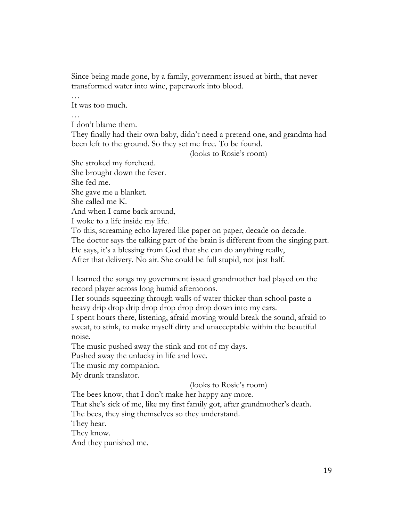Since being made gone, by a family, government issued at birth, that never transformed water into wine, paperwork into blood.

It was too much.

…

…

I don't blame them.

They finally had their own baby, didn't need a pretend one, and grandma had been left to the ground. So they set me free. To be found.

(looks to Rosie's room)

She stroked my forehead. She brought down the fever. She fed me. She gave me a blanket. She called me K. And when I came back around, I woke to a life inside my life. To this, screaming echo layered like paper on paper, decade on decade. The doctor says the talking part of the brain is different from the singing part. He says, it's a blessing from God that she can do anything really, After that delivery. No air. She could be full stupid, not just half.

I learned the songs my government issued grandmother had played on the record player across long humid afternoons.

Her sounds squeezing through walls of water thicker than school paste a heavy drip drop drip drop drop drop drop down into my ears.

I spent hours there, listening, afraid moving would break the sound, afraid to sweat, to stink, to make myself dirty and unacceptable within the beautiful noise.

The music pushed away the stink and rot of my days.

Pushed away the unlucky in life and love.

The music my companion.

My drunk translator.

(looks to Rosie's room)

The bees know, that I don't make her happy any more.

That she's sick of me, like my first family got, after grandmother's death.

The bees, they sing themselves so they understand.

They hear.

They know.

And they punished me.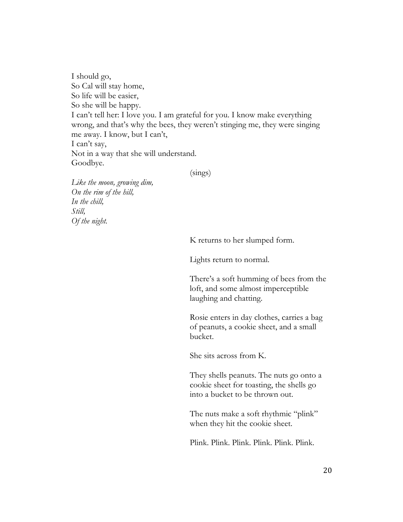I should go, So Cal will stay home, So life will be easier, So she will be happy. I can't tell her: I love you. I am grateful for you. I know make everything wrong, and that's why the bees, they weren't stinging me, they were singing me away. I know, but I can't, I can't say, Not in a way that she will understand. Goodbye.

#### (sings)

*Like the moon, growing dim, On the rim of the hill, In the chill, Still, Of the night.*

K returns to her slumped form.

Lights return to normal.

There's a soft humming of bees from the loft, and some almost imperceptible laughing and chatting.

Rosie enters in day clothes, carries a bag of peanuts, a cookie sheet, and a small bucket.

She sits across from K.

They shells peanuts. The nuts go onto a cookie sheet for toasting, the shells go into a bucket to be thrown out.

The nuts make a soft rhythmic "plink" when they hit the cookie sheet.

Plink. Plink. Plink. Plink. Plink. Plink.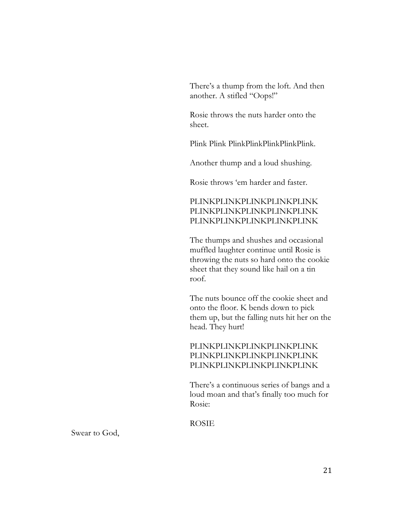There's a thump from the loft. And then another. A stifled "Oops!"

Rosie throws the nuts harder onto the sheet.

Plink Plink PlinkPlinkPlinkPlink.

Another thump and a loud shushing.

Rosie throws 'em harder and faster.

## PLINKPLINKPLINKPLINKPLINK PLINKPLINKPLINKPLINKPLINK PLINKPLINKPLINKPLINKPLINK

The thumps and shushes and occasional muffled laughter continue until Rosie is throwing the nuts so hard onto the cookie sheet that they sound like hail on a tin roof.

The nuts bounce off the cookie sheet and onto the floor. K bends down to pick them up, but the falling nuts hit her on the head. They hurt!

## PLINKPLINKPLINKPLINKPLINK PLINKPLINKPLINKPLINKPLINK PLINKPLINKPLINKPLINKPLINK

There's a continuous series of bangs and a loud moan and that's finally too much for Rosie:

## ROSIE

Swear to God,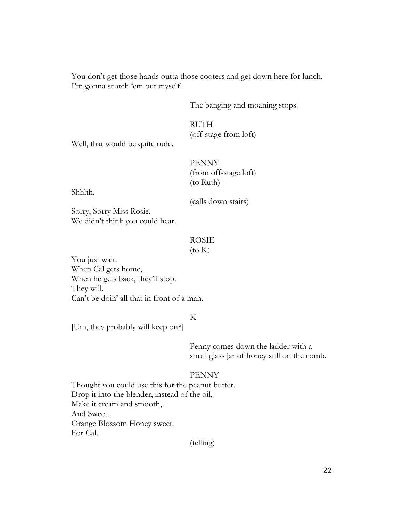You don't get those hands outta those cooters and get down here for lunch, I'm gonna snatch 'em out myself.

The banging and moaning stops.

RUTH (off-stage from loft)

Well, that would be quite rude.

PENNY (from off-stage loft) (to Ruth)

Shhhh.

(calls down stairs)

Sorry, Sorry Miss Rosie. We didn't think you could hear.

## ROSIE

 $($ to K $)$ 

You just wait. When Cal gets home, When he gets back, they'll stop. They will. Can't be doin' all that in front of a man.

#### K

[Um, they probably will keep on?]

Penny comes down the ladder with a small glass jar of honey still on the comb.

## PENNY

Thought you could use this for the peanut butter. Drop it into the blender, instead of the oil, Make it cream and smooth, And Sweet. Orange Blossom Honey sweet. For Cal.

(telling)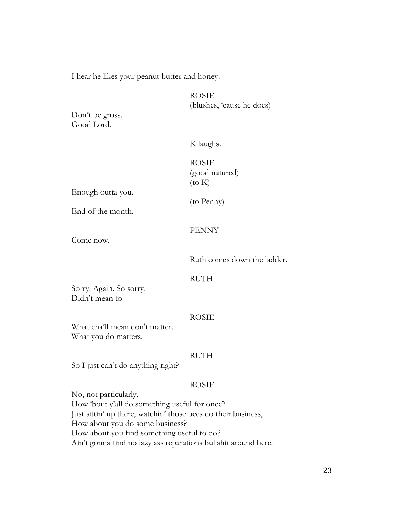I hear he likes your peanut butter and honey.

ROSIE (blushes, 'cause he does)

Don't be gross. Good Lord.

K laughs.

ROSIE (good natured)  $($ to K $)$ 

Enough outta you.

End of the month.

(to Penny)

## PENNY

Come now.

Ruth comes down the ladder.

#### RUTH

Sorry. Again. So sorry. Didn't mean to-

#### ROSIE

What cha'll mean don't matter. What you do matters.

#### RUTH

So I just can't do anything right?

## ROSIE

No, not particularly. How 'bout y'all do something useful for once? Just sittin' up there, watchin' those bees do their business, How about you do some business? How about you find something useful to do? Ain't gonna find no lazy ass reparations bullshit around here.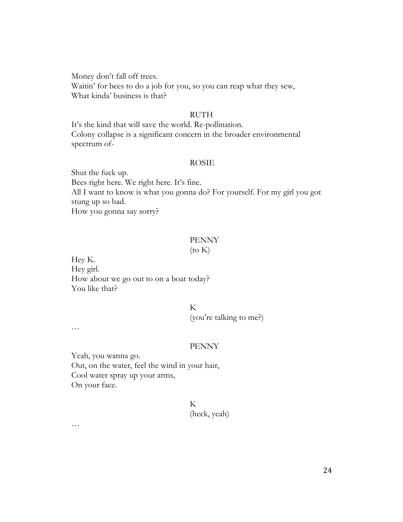Money don't fall off trees. Waitin' for bees to do a job for you, so you can reap what they sew, What kinda' business is that?

#### RUTH

It's the kind that will save the world. Re-pollination. Colony collapse is a significant concern in the broader environmental spectrum of-

#### ROSIE

Shut the fuck up. Bees right here. We right here. It's fine. All I want to know is what you gonna do? For yourself. For my girl you got stung up so bad. How you gonna say sorry?

#### PENNY

 $($ to K $)$ 

Hey K. Hey girl. How about we go out to on a boat today? You like that?

> K (you're talking to me?)

…

#### PENNY

Yeah, you wanna go. Out, on the water, feel the wind in your hair, Cool water spray up your arms, On your face.

## K (heck, yeah)

…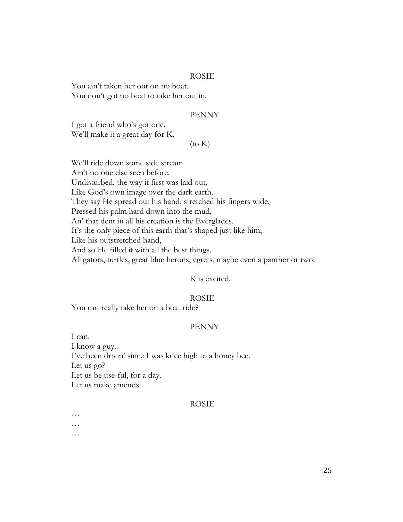#### ROSIE

You ain't taken her out on no boat. You don't got no boat to take her out in.

#### PENNY

I got a friend who's got one. We'll make it a great day for K.

#### $($ to K $)$

We'll ride down some side stream Ain't no one else seen before. Undisturbed, the way it first was laid out, Like God's own image over the dark earth. They say He spread out his hand, stretched his fingers wide, Pressed his palm hard down into the mud, An' that dent in all his creation is the Everglades. It's the only piece of this earth that's shaped just like him, Like his outstretched hand, And so He filled it with all the best things. Alligators, turtles, great blue herons, egrets, maybe even a panther or two.

#### K is excited.

#### ROSIE

You can really take her on a boat ride?

#### PENNY

I can. I know a guy. I've been drivin' since I was knee high to a honey bee. Let us go? Let us be use-ful, for a day. Let us make amends.

#### ROSIE

… …

…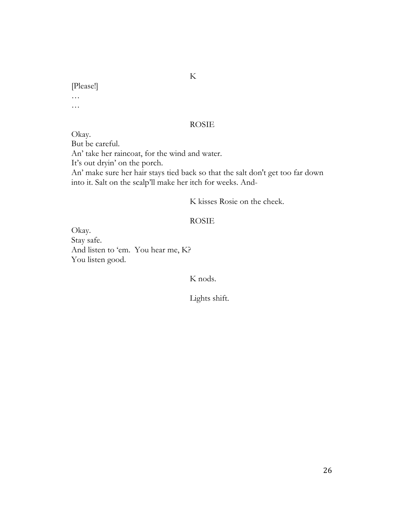## K

## [Please!]

… …

## ROSIE

Okay. But be careful. An' take her raincoat, for the wind and water. It's out dryin' on the porch. An' make sure her hair stays tied back so that the salt don't get too far down into it. Salt on the scalp'll make her itch for weeks. And-

K kisses Rosie on the cheek.

#### ROSIE

Okay. Stay safe. And listen to 'em. You hear me, K? You listen good.

K nods.

Lights shift.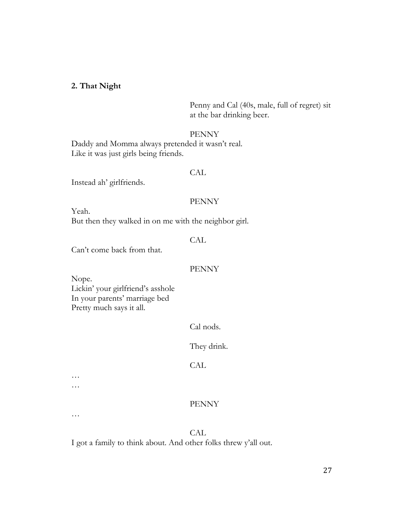## **2. That Night**

Penny and Cal (40s, male, full of regret) sit at the bar drinking beer.

#### PENNY

Daddy and Momma always pretended it wasn't real. Like it was just girls being friends.

#### CAL

Instead ah' girlfriends.

#### PENNY

Yeah. But then they walked in on me with the neighbor girl.

## CAL

Can't come back from that.

## PENNY

Nope. Lickin' your girlfriend's asshole In your parents' marriage bed Pretty much says it all.

Cal nods.

They drink.

### CAL

… …

…

#### PENNY

CAL

I got a family to think about. And other folks threw y'all out.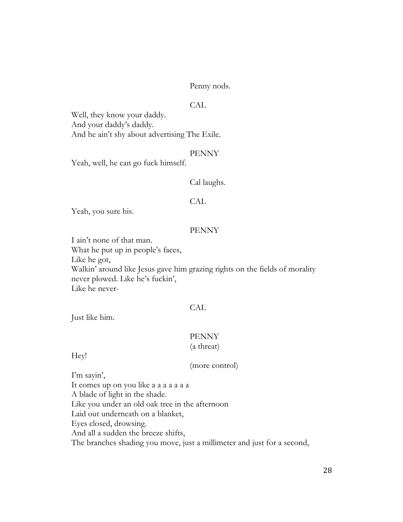#### Penny nods.

#### CAL

Well, they know your daddy. And your daddy's daddy. And he ain't shy about advertising The Exile.

#### PENNY

Yeah, well, he can go fuck himself.

#### Cal laughs.

#### CAL

Yeah, you sure his.

#### PENNY

I ain't none of that man. What he put up in people's faces, Like he got, Walkin' around like Jesus gave him grazing rights on the fields of morality never plowed. Like he's fuckin', Like he never-

### CAL

Just like him.

## PENNY

#### (a threat)

Hey!

(more control)

I'm sayin', It comes up on you like a a a a a a a A blade of light in the shade. Like you under an old oak tree in the afternoon Laid out underneath on a blanket, Eyes closed, drowsing. And all a sudden the breeze shifts, The branches shading you move, just a millimeter and just for a second,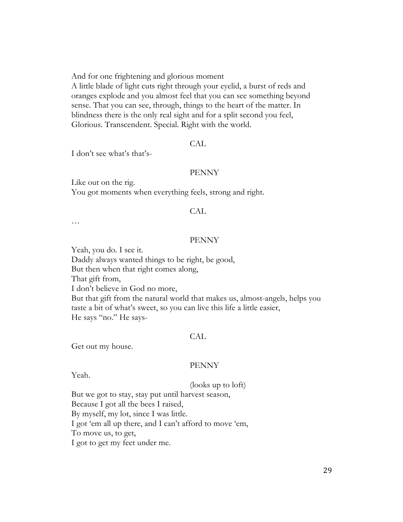And for one frightening and glorious moment A little blade of light cuts right through your eyelid, a burst of reds and oranges explode and you almost feel that you can see something beyond sense. That you can see, through, things to the heart of the matter. In blindness there is the only real sight and for a split second you feel,

Glorious. Transcendent. Special. Right with the world.

#### CAL

I don't see what's that's-

## PENNY

Like out on the rig. You got moments when everything feels, strong and right.

#### CAL

…

#### PENNY

Yeah, you do. I see it. Daddy always wanted things to be right, be good, But then when that right comes along, That gift from, I don't believe in God no more, But that gift from the natural world that makes us, almost-angels, helps you taste a bit of what's sweet, so you can live this life a little easier, He says "no." He says-

## CAL

Get out my house.

## PENNY

Yeah.

(looks up to loft) But we got to stay, stay put until harvest season, Because I got all the bees I raised, By myself, my lot, since I was little. I got 'em all up there, and I can't afford to move 'em, To move us, to get, I got to get my feet under me.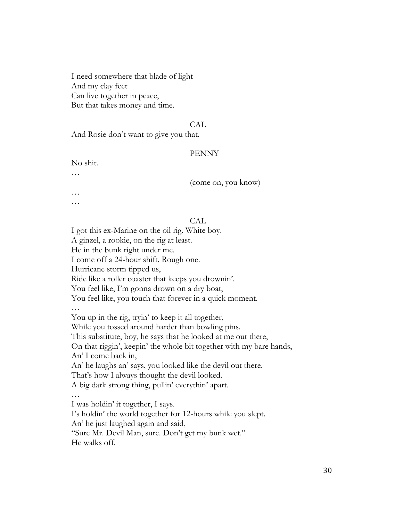I need somewhere that blade of light And my clay feet Can live together in peace, But that takes money and time.

#### CAL

And Rosie don't want to give you that.

#### PENNY

No shit.

…

(come on, you know)

… …

#### CAL

I got this ex-Marine on the oil rig. White boy.

A ginzel, a rookie, on the rig at least.

He in the bunk right under me.

I come off a 24-hour shift. Rough one.

Hurricane storm tipped us,

Ride like a roller coaster that keeps you drownin'.

You feel like, I'm gonna drown on a dry boat,

You feel like, you touch that forever in a quick moment.

…

You up in the rig, tryin' to keep it all together,

While you tossed around harder than bowling pins.

This substitute, boy, he says that he looked at me out there,

On that riggin', keepin' the whole bit together with my bare hands, An' I come back in,

An' he laughs an' says, you looked like the devil out there.

That's how I always thought the devil looked.

A big dark strong thing, pullin' everythin' apart.

…

I was holdin' it together, I says.

I's holdin' the world together for 12-hours while you slept.

An' he just laughed again and said,

"Sure Mr. Devil Man, sure. Don't get my bunk wet."

He walks off.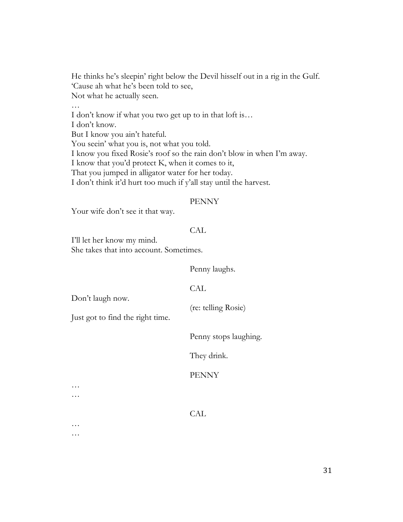He thinks he's sleepin' right below the Devil hisself out in a rig in the Gulf. 'Cause ah what he's been told to see,

Not what he actually seen.

…

I don't know if what you two get up to in that loft is…

I don't know.

But I know you ain't hateful.

You seein' what you is, not what you told.

I know you fixed Rosie's roof so the rain don't blow in when I'm away.

I know that you'd protect K, when it comes to it,

That you jumped in alligator water for her today.

I don't think it'd hurt too much if y'all stay until the harvest.

## PENNY

Your wife don't see it that way.

## CAL

I'll let her know my mind. She takes that into account. Sometimes.

Penny laughs.

## CAL

Don't laugh now.

(re: telling Rosie)

Just got to find the right time.

Penny stops laughing.

They drink.

PENNY

… …

CAL

…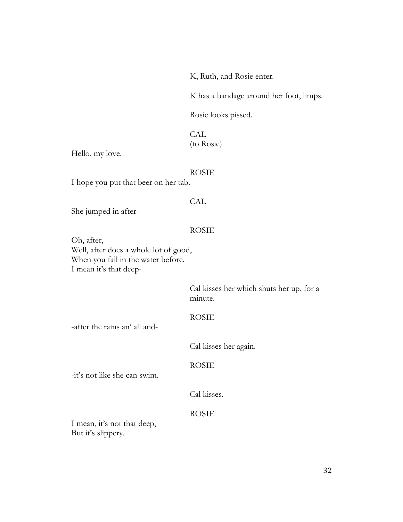K, Ruth, and Rosie enter.

K has a bandage around her foot, limps.

Rosie looks pissed.

CAL (to Rosie)

Hello, my love.

#### ROSIE

I hope you put that beer on her tab.

#### CAL

She jumped in after-

#### ROSIE

Oh, after, Well, after does a whole lot of good, When you fall in the water before. I mean it's that deep-

> Cal kisses her which shuts her up, for a minute.

#### ROSIE

-after the rains an' all and-

Cal kisses her again.

### ROSIE

-it's not like she can swim.

Cal kisses.

## ROSIE

I mean, it's not that deep, But it's slippery.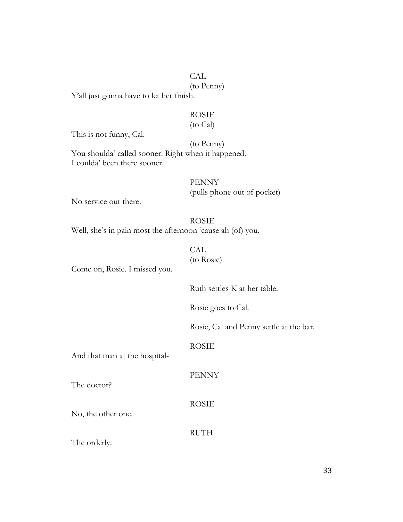## CAL

## (to Penny)

Y'all just gonna have to let her finish.

## ROSIE

(to Cal)

This is not funny, Cal.

(to Penny) You shoulda' called sooner. Right when it happened. I coulda' been there sooner.

> PENNY (pulls phone out of pocket)

No service out there.

ROSIE

Well, she's in pain most the afternoon 'cause ah (of) you.

CAL (to Rosie)

Come on, Rosie. I missed you.

Ruth settles K at her table.

Rosie goes to Cal.

Rosie, Cal and Penny settle at the bar.

ROSIE

And that man at the hospital-

The doctor?

PENNY

No, the other one.

RUTH

ROSIE

The orderly.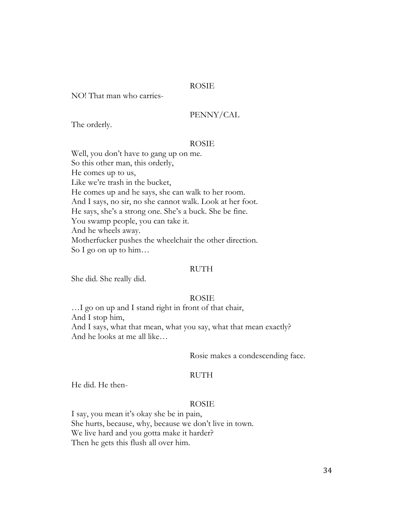#### ROSIE

NO! That man who carries-

#### PENNY/CAL

The orderly.

#### ROSIE

Well, you don't have to gang up on me. So this other man, this orderly, He comes up to us, Like we're trash in the bucket, He comes up and he says, she can walk to her room. And I says, no sir, no she cannot walk. Look at her foot. He says, she's a strong one. She's a buck. She be fine. You swamp people, you can take it. And he wheels away. Motherfucker pushes the wheelchair the other direction. So I go on up to him...

#### RUTH

She did. She really did.

#### ROSIE

…I go on up and I stand right in front of that chair, And I stop him, And I says, what that mean, what you say, what that mean exactly? And he looks at me all like…

Rosie makes a condescending face.

#### RUTH

He did. He then-

#### ROSIE

I say, you mean it's okay she be in pain, She hurts, because, why, because we don't live in town. We live hard and you gotta make it harder? Then he gets this flush all over him.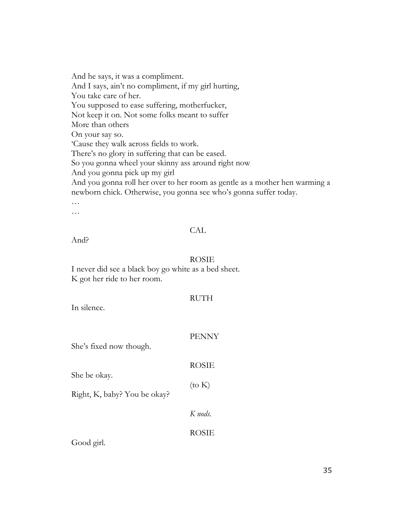And he says, it was a compliment. And I says, ain't no compliment, if my girl hurting, You take care of her. You supposed to ease suffering, motherfucker, Not keep it on. Not some folks meant to suffer More than others On your say so. 'Cause they walk across fields to work. There's no glory in suffering that can be eased. So you gonna wheel your skinny ass around right now And you gonna pick up my girl And you gonna roll her over to her room as gentle as a mother hen warming a newborn chick. Otherwise, you gonna see who's gonna suffer today.

…

…

#### CAL

And?

#### ROSIE

I never did see a black boy go white as a bed sheet. K got her ride to her room.

#### RUTH

In silence.

#### PENNY

ROSIE

She's fixed now though.

# She be okay.

Right, K, baby? You be okay?

## *K nods.*

 $($ to K $)$ 

## ROSIE

Good girl.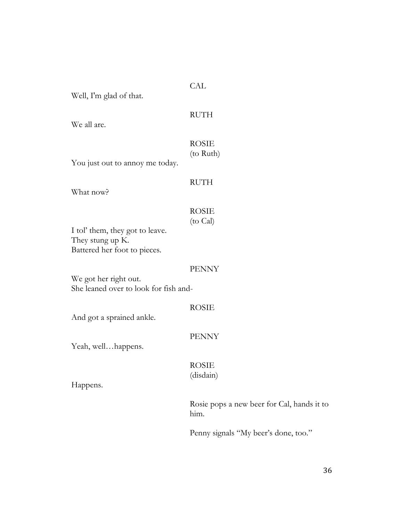CAL

Well, I'm glad of that.

#### RUTH

We all are.

## ROSIE

(to Ruth)

You just out to annoy me today.

What now?

RUTH

## ROSIE (to Cal)

I tol' them, they got to leave. They stung up K. Battered her foot to pieces.

## PENNY

We got her right out. She leaned over to look for fish and-

## ROSIE

And got a sprained ankle.

## PENNY

Yeah, well…happens.

## ROSIE (disdain)

Happens.

Rosie pops a new beer for Cal, hands it to him.

Penny signals "My beer's done, too."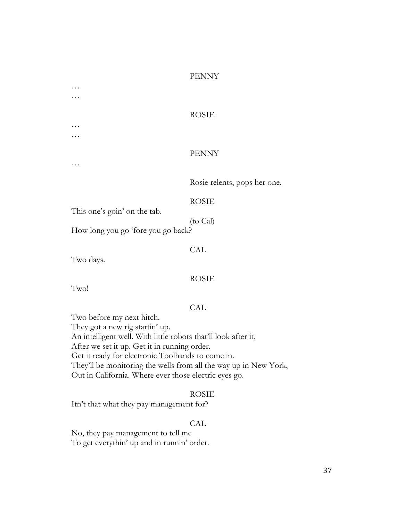## PENNY

## ROSIE

### PENNY

Rosie relents, pops her one.

### ROSIE

This one's goin' on the tab.

(to Cal)

How long you go 'fore you go back?

CAL

Two days.

## ROSIE

Two!

… …

… …

…

## CAL

Two before my next hitch. They got a new rig startin' up. An intelligent well. With little robots that'll look after it, After we set it up. Get it in running order. Get it ready for electronic Toolhands to come in. They'll be monitoring the wells from all the way up in New York, Out in California. Where ever those electric eyes go.

### ROSIE

Itn't that what they pay management for?

## CAL

No, they pay management to tell me To get everythin' up and in runnin' order.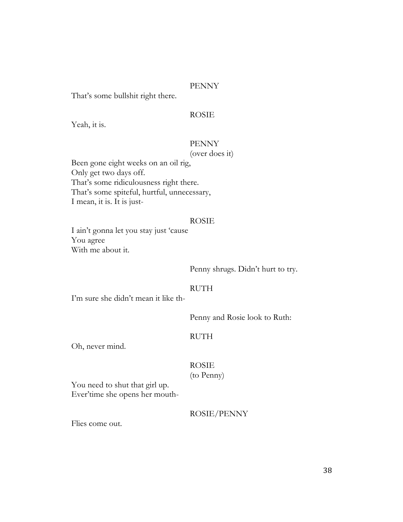### PENNY

That's some bullshit right there.

### ROSIE

Yeah, it is.

## PENNY

## (over does it)

Been gone eight weeks on an oil rig, Only get two days off. That's some ridiculousness right there. That's some spiteful, hurtful, unnecessary, I mean, it is. It is just-

### ROSIE

I ain't gonna let you stay just 'cause You agree With me about it.

Penny shrugs. Didn't hurt to try.

### RUTH

I'm sure she didn't mean it like th-

Penny and Rosie look to Ruth:

### RUTH

Oh, never mind.

ROSIE (to Penny)

You need to shut that girl up. Ever'time she opens her mouth-

ROSIE/PENNY

Flies come out.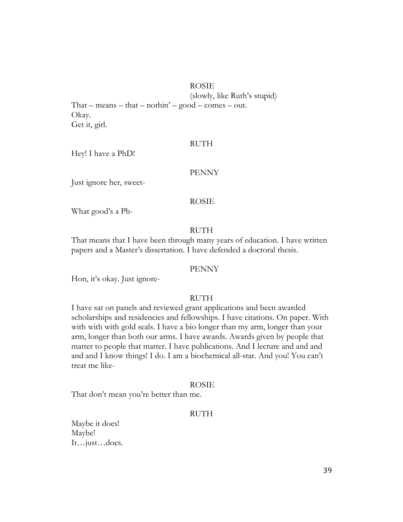### ROSIE

(slowly, like Ruth's stupid) That – means – that – nothin' – good – comes – out. Okay. Get it, girl.

#### RUTH

Hey! I have a PhD!

### PENNY

Just ignore her, sweet-

#### ROSIE

What good's a Ph-

### RUTH

That means that I have been through many years of education. I have written papers and a Master's dissertation. I have defended a doctoral thesis.

### PENNY

Hon, it's okay. Just ignore-

## RUTH

I have sat on panels and reviewed grant applications and been awarded scholarships and residencies and fellowships. I have citations. On paper. With with with with gold seals. I have a bio longer than my arm, longer than your arm, longer than both our arms. I have awards. Awards given by people that matter to people that matter. I have publications. And I lecture and and and and and I know things! I do. I am a biochemical all-star. And you! You can't treat me like-

## ROSIE

That don't mean you're better than me.

#### RUTH

Maybe it does! Maybe! It…just…does.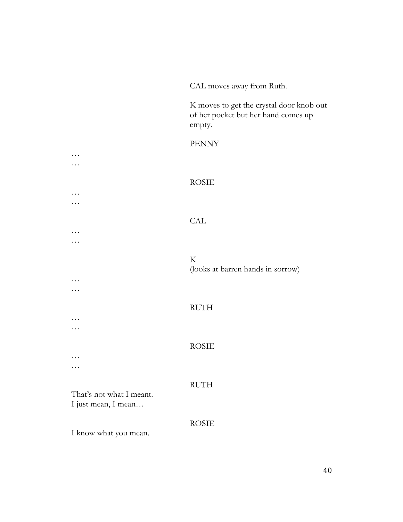|                          | CAL moves away from Ruth.                                                                 |
|--------------------------|-------------------------------------------------------------------------------------------|
|                          | K moves to get the crystal door knob out<br>of her pocket but her hand comes up<br>empty. |
|                          | <b>PENNY</b>                                                                              |
|                          |                                                                                           |
|                          |                                                                                           |
|                          | <b>ROSIE</b>                                                                              |
|                          |                                                                                           |
|                          |                                                                                           |
|                          | <b>CAL</b>                                                                                |
|                          |                                                                                           |
|                          |                                                                                           |
|                          | $\rm K$<br>(looks at barren hands in sorrow)                                              |
|                          |                                                                                           |
|                          |                                                                                           |
|                          | <b>RUTH</b>                                                                               |
|                          |                                                                                           |
|                          |                                                                                           |
|                          | <b>ROSIE</b>                                                                              |
|                          |                                                                                           |
| $\ddotsc$                |                                                                                           |
| That's not what I meant. | <b>RUTH</b>                                                                               |
| I just mean, I mean      |                                                                                           |
|                          | <b>ROSIE</b>                                                                              |
| I know what you mean.    |                                                                                           |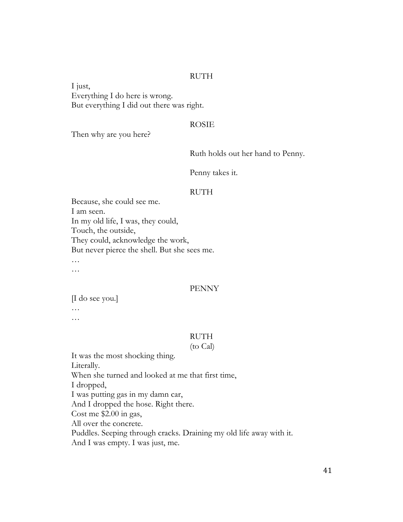## RUTH

I just, Everything I do here is wrong. But everything I did out there was right.

## ROSIE

Then why are you here?

Ruth holds out her hand to Penny.

Penny takes it.

## RUTH

Because, she could see me. I am seen. In my old life, I was, they could, Touch, the outside, They could, acknowledge the work, But never pierce the shell. But she sees me.

… …

## PENNY

[I do see you.]

…

…

## RUTH

### (to Cal)

It was the most shocking thing. Literally. When she turned and looked at me that first time, I dropped, I was putting gas in my damn car, And I dropped the hose. Right there. Cost me \$2.00 in gas, All over the concrete. Puddles. Seeping through cracks. Draining my old life away with it. And I was empty. I was just, me.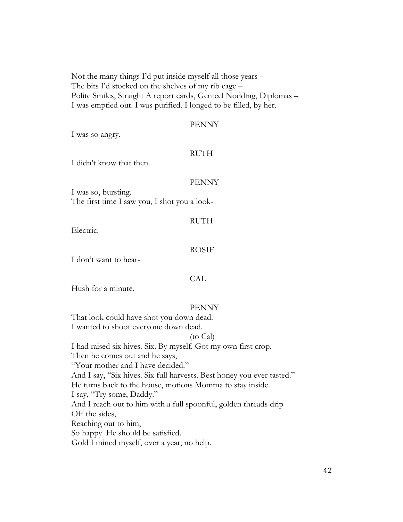Not the many things I'd put inside myself all those years – The bits I'd stocked on the shelves of my rib cage – Polite Smiles, Straight A report cards, Genteel Nodding, Diplomas – I was emptied out. I was purified. I longed to be filled, by her.

### PENNY

I was so angry.

### RUTH

I didn't know that then.

### PENNY

I was so, bursting. The first time I saw you, I shot you a look-

RUTH

Electric.

## ROSIE

I don't want to hear-

### CAL

Hush for a minute.

## PENNY

That look could have shot you down dead.

I wanted to shoot everyone down dead.

## (to Cal)

I had raised six hives. Six. By myself. Got my own first crop. Then he comes out and he says, "Your mother and I have decided." And I say, "Six hives. Six full harvests. Best honey you ever tasted." He turns back to the house, motions Momma to stay inside. I say, "Try some, Daddy." And I reach out to him with a full spoonful, golden threads drip Off the sides, Reaching out to him, So happy. He should be satisfied. Gold I mined myself, over a year, no help.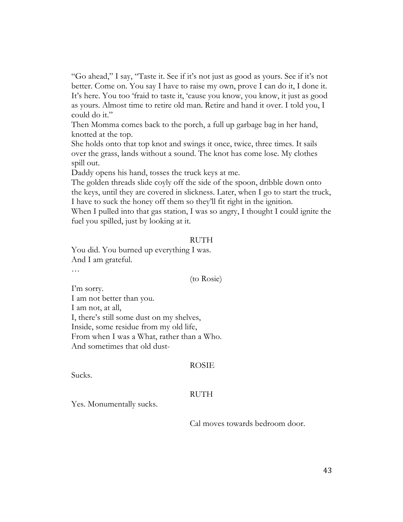"Go ahead," I say, "Taste it. See if it's not just as good as yours. See if it's not better. Come on. You say I have to raise my own, prove I can do it, I done it. It's here. You too 'fraid to taste it, 'cause you know, you know, it just as good as yours. Almost time to retire old man. Retire and hand it over. I told you, I could do it."

Then Momma comes back to the porch, a full up garbage bag in her hand, knotted at the top.

She holds onto that top knot and swings it once, twice, three times. It sails over the grass, lands without a sound. The knot has come lose. My clothes spill out.

Daddy opens his hand, tosses the truck keys at me.

The golden threads slide coyly off the side of the spoon, dribble down onto the keys, until they are covered in slickness. Later, when I go to start the truck, I have to suck the honey off them so they'll fit right in the ignition.

When I pulled into that gas station, I was so angry, I thought I could ignite the fuel you spilled, just by looking at it.

### RUTH

You did. You burned up everything I was. And I am grateful.

…

## (to Rosie)

I'm sorry. I am not better than you. I am not, at all, I, there's still some dust on my shelves, Inside, some residue from my old life, From when I was a What, rather than a Who. And sometimes that old dust-

### ROSIE

Sucks.

## RUTH

Yes. Monumentally sucks.

Cal moves towards bedroom door.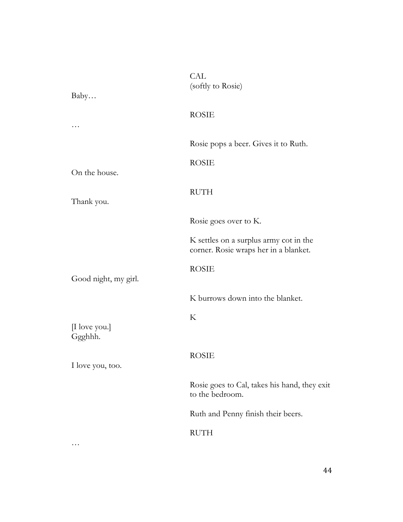|                                    | <b>CAL</b><br>(softly to Rosie)                                                 |
|------------------------------------|---------------------------------------------------------------------------------|
| Baby                               |                                                                                 |
| .                                  | <b>ROSIE</b>                                                                    |
|                                    | Rosie pops a beer. Gives it to Ruth.                                            |
|                                    | <b>ROSIE</b>                                                                    |
| On the house.                      |                                                                                 |
| Thank you.                         | <b>RUTH</b>                                                                     |
|                                    | Rosie goes over to K.                                                           |
|                                    | K settles on a surplus army cot in the<br>corner. Rosie wraps her in a blanket. |
| Good night, my girl.               | <b>ROSIE</b>                                                                    |
|                                    | K burrows down into the blanket.                                                |
| $[I \text{ love you.}]$<br>Ggghhh. | K                                                                               |
| I love you, too.                   | <b>ROSIE</b>                                                                    |
|                                    | Rosie goes to Cal, takes his hand, they exit<br>to the bedroom.                 |
|                                    | Ruth and Penny finish their beers.                                              |
|                                    | <b>RUTH</b>                                                                     |
|                                    |                                                                                 |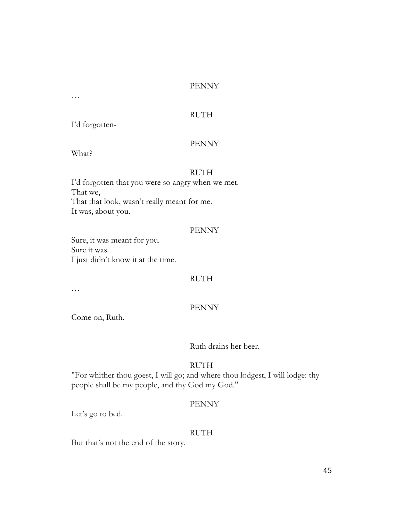## PENNY

…

### RUTH

I'd forgotten-

### PENNY

What?

#### RUTH

I'd forgotten that you were so angry when we met. That we, That that look, wasn't really meant for me. It was, about you.

#### PENNY

Sure, it was meant for you. Sure it was. I just didn't know it at the time.

### RUTH

…

## PENNY

Come on, Ruth.

## Ruth drains her beer.

#### RUTH

"For whither thou goest, I will go; and where thou lodgest, I will lodge: thy people shall be my people, and thy God my God."

## PENNY

Let's go to bed.

### RUTH

But that's not the end of the story.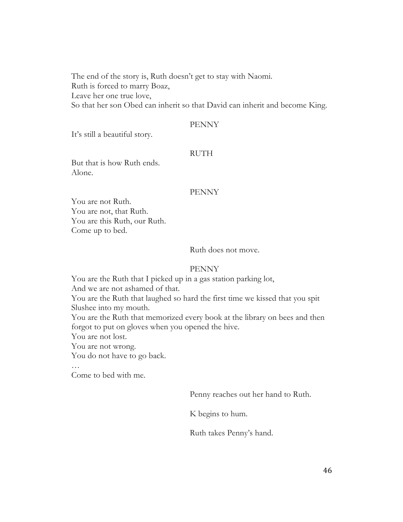The end of the story is, Ruth doesn't get to stay with Naomi. Ruth is forced to marry Boaz, Leave her one true love, So that her son Obed can inherit so that David can inherit and become King.

## PENNY

It's still a beautiful story.

## RUTH

But that is how Ruth ends. Alone.

## PENNY

You are not Ruth. You are not, that Ruth. You are this Ruth, our Ruth. Come up to bed.

Ruth does not move.

## PENNY

You are the Ruth that I picked up in a gas station parking lot, And we are not ashamed of that. You are the Ruth that laughed so hard the first time we kissed that you spit Slushee into my mouth. You are the Ruth that memorized every book at the library on bees and then forgot to put on gloves when you opened the hive. You are not lost. You are not wrong. You do not have to go back. … Come to bed with me.

Penny reaches out her hand to Ruth.

K begins to hum.

Ruth takes Penny's hand.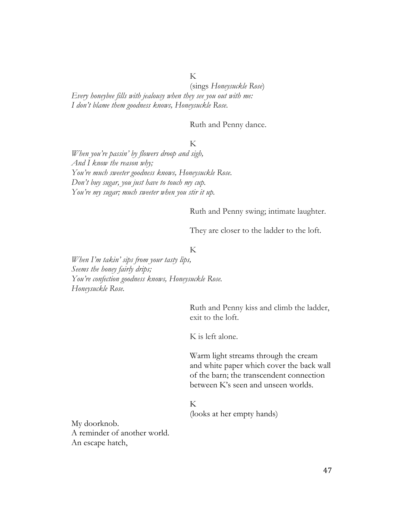K

(sings *Honeysuckle Rose*) *Every honeybee fills with jealousy when they see you out with me: I don't blame them goodness knows, Honeysuckle Rose.*

Ruth and Penny dance.

### K

*When you're passin' by flowers droop and sigh, And I know the reason why; You're much sweeter goodness knows, Honeysuckle Rose. Don't buy sugar, you just have to touch my cup. You're my sugar; much sweeter when you stir it up.*

Ruth and Penny swing; intimate laughter.

They are closer to the ladder to the loft.

## K

*When I'm takin' sips from your tasty lips, Seems the honey fairly drips; You're confection goodness knows, Honeysuckle Rose. Honeysuckle Rose.*

> Ruth and Penny kiss and climb the ladder, exit to the loft.

K is left alone.

Warm light streams through the cream and white paper which cover the back wall of the barn; the transcendent connection between K's seen and unseen worlds.

## K

(looks at her empty hands)

My doorknob. A reminder of another world. An escape hatch,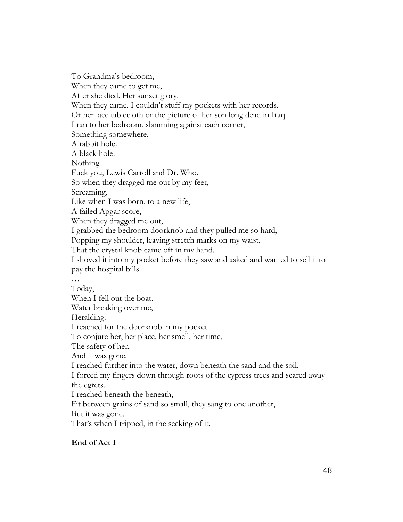To Grandma's bedroom, When they came to get me, After she died. Her sunset glory. When they came, I couldn't stuff my pockets with her records, Or her lace tablecloth or the picture of her son long dead in Iraq. I ran to her bedroom, slamming against each corner, Something somewhere, A rabbit hole. A black hole. Nothing. Fuck you, Lewis Carroll and Dr. Who. So when they dragged me out by my feet, Screaming, Like when I was born, to a new life, A failed Apgar score, When they dragged me out, I grabbed the bedroom doorknob and they pulled me so hard, Popping my shoulder, leaving stretch marks on my waist, That the crystal knob came off in my hand. I shoved it into my pocket before they saw and asked and wanted to sell it to pay the hospital bills. … Today, When I fell out the boat. Water breaking over me, Heralding. I reached for the doorknob in my pocket To conjure her, her place, her smell, her time, The safety of her, And it was gone. I reached further into the water, down beneath the sand and the soil. I forced my fingers down through roots of the cypress trees and scared away the egrets. I reached beneath the beneath, Fit between grains of sand so small, they sang to one another, But it was gone. That's when I tripped, in the seeking of it.

## **End of Act I**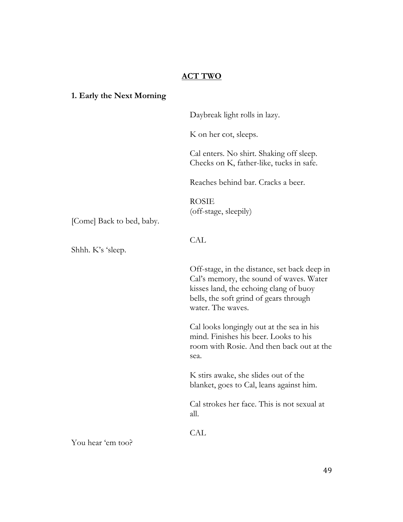# **ACT TWO**

| 1. Early the Next Morning |                                                                                                                                                                                                  |
|---------------------------|--------------------------------------------------------------------------------------------------------------------------------------------------------------------------------------------------|
|                           | Daybreak light rolls in lazy.                                                                                                                                                                    |
|                           | K on her cot, sleeps.                                                                                                                                                                            |
|                           | Cal enters. No shirt. Shaking off sleep.<br>Checks on K, father-like, tucks in safe.                                                                                                             |
|                           | Reaches behind bar. Cracks a beer.                                                                                                                                                               |
| [Come] Back to bed, baby. | <b>ROSIE</b><br>(off-stage, sleepily)                                                                                                                                                            |
| Shhh. K's 'sleep.         | <b>CAL</b>                                                                                                                                                                                       |
|                           | Off-stage, in the distance, set back deep in<br>Cal's memory, the sound of waves. Water<br>kisses land, the echoing clang of buoy<br>bells, the soft grind of gears through<br>water. The waves. |
|                           | Cal looks longingly out at the sea in his<br>mind. Finishes his beer. Looks to his<br>room with Rosie. And then back out at the<br>sea.                                                          |
|                           | K stirs awake, she slides out of the<br>blanket, goes to Cal, leans against him.                                                                                                                 |
|                           | Cal strokes her face. This is not sexual at<br>all.                                                                                                                                              |
| You hear 'em too?         | <b>CAL</b>                                                                                                                                                                                       |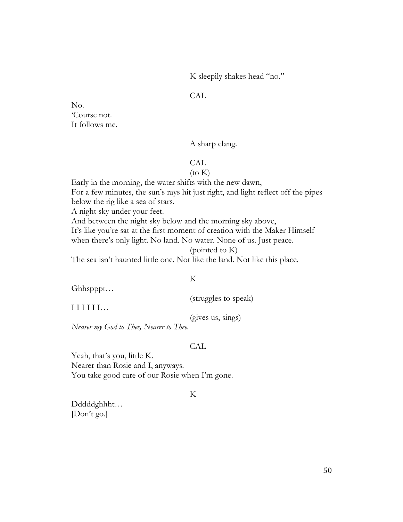K sleepily shakes head "no."

## CAL

No. 'Course not. It follows me.

## A sharp clang.

## CAL

### $($ to K $)$

Early in the morning, the water shifts with the new dawn, For a few minutes, the sun's rays hit just right, and light reflect off the pipes below the rig like a sea of stars. A night sky under your feet. And between the night sky below and the morning sky above,

It's like you're sat at the first moment of creation with the Maker Himself when there's only light. No land. No water. None of us. Just peace.

K

(pointed to K)

The sea isn't haunted little one. Not like the land. Not like this place.

(struggles to speak)

I I I I I I…

Ghhspppt…

(gives us, sings)

*Nearer my God to Thee, Nearer to Thee.*

## CAL

Yeah, that's you, little K. Nearer than Rosie and I, anyways. You take good care of our Rosie when I'm gone.

K

Dddddghhht… [Don't go.]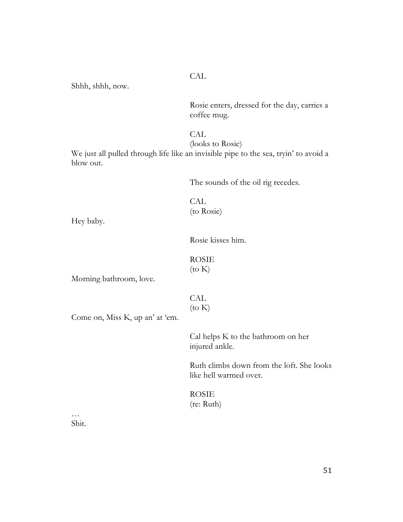CAL

Shhh, shhh, now.

Rosie enters, dressed for the day, carries a coffee mug.

CAL

(looks to Rosie)

We just all pulled through life like an invisible pipe to the sea, tryin' to avoid a blow out.

The sounds of the oil rig recedes.

CAL (to Rosie)

Hey baby.

Rosie kisses him.

ROSIE (to K)

Morning bathroom, love.

CAL (to K)

Come on, Miss K, up an' at 'em.

Cal helps K to the bathroom on her injured ankle.

Ruth climbs down from the loft. She looks like hell warmed over.

ROSIE (re: Ruth)

… Shit.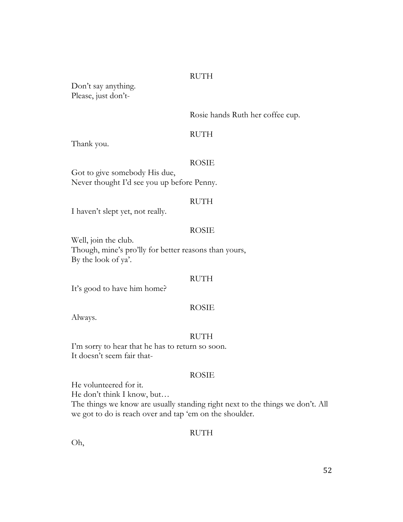## RUTH

Don't say anything. Please, just don't-

## Rosie hands Ruth her coffee cup.

## RUTH

Thank you.

## ROSIE

Got to give somebody His due, Never thought I'd see you up before Penny.

#### RUTH

I haven't slept yet, not really.

### ROSIE

Well, join the club. Though, mine's pro'lly for better reasons than yours, By the look of ya'.

### RUTH

It's good to have him home?

### ROSIE

Always.

#### RUTH

I'm sorry to hear that he has to return so soon. It doesn't seem fair that-

#### ROSIE

He volunteered for it.

He don't think I know, but…

The things we know are usually standing right next to the things we don't. All we got to do is reach over and tap 'em on the shoulder.

#### RUTH

Oh,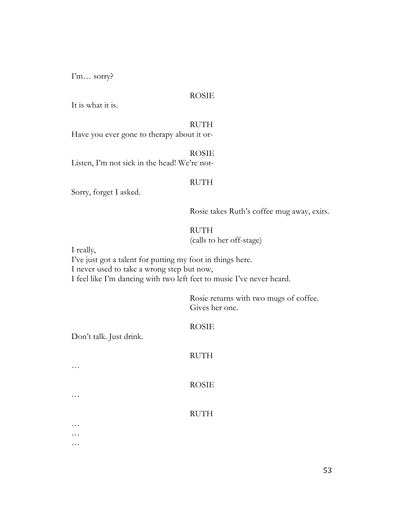I'm… sorry?

## ROSIE

It is what it is.

### RUTH

Have you ever gone to therapy about it or-

ROSIE Listen, I'm not sick in the head! We're not-

## RUTH

Sorry, forget I asked.

Rosie takes Ruth's coffee mug away, exits.

## RUTH

(calls to her off-stage)

I really,

 $\dots$ 

…

… … …

I've just got a talent for putting my foot in things here. I never used to take a wrong step but now,

I feel like I'm dancing with two left feet to music I've never heard.

Rosie returns with two mugs of coffee. Gives her one.

## ROSIE

Don't talk. Just drink.

| <b>RUTH</b>  |
|--------------|
| <b>ROSIE</b> |
| <b>RUTH</b>  |
|              |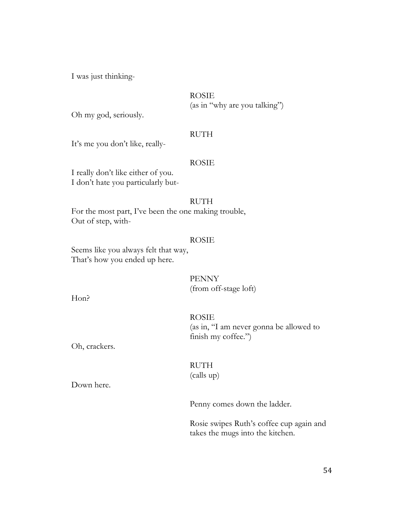I was just thinking-

## ROSIE

(as in "why are you talking")

Oh my god, seriously.

## RUTH

It's me you don't like, really-

## ROSIE

I really don't like either of you. I don't hate you particularly but-

## RUTH

For the most part, I've been the one making trouble, Out of step, with-

## ROSIE

Seems like you always felt that way, That's how you ended up here.

## PENNY

(from off-stage loft)

Hon?

## ROSIE

(as in, "I am never gonna be allowed to finish my coffee.")

Oh, crackers.

## RUTH

(calls up)

Down here.

Penny comes down the ladder.

Rosie swipes Ruth's coffee cup again and takes the mugs into the kitchen.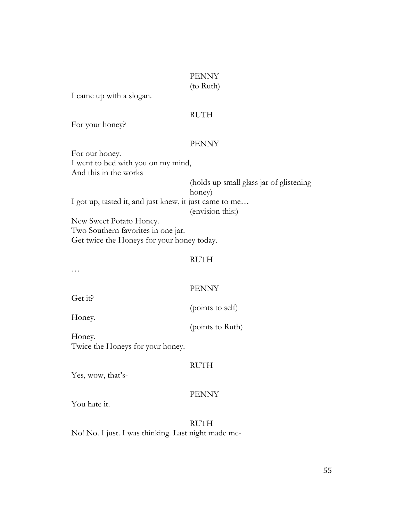# PENNY

## (to Ruth)

I came up with a slogan.

## RUTH

For your honey?

## PENNY

For our honey. I went to bed with you on my mind, And this in the works

> (holds up small glass jar of glistening honey)

I got up, tasted it, and just knew, it just came to me…

(envision this:)

New Sweet Potato Honey. Two Southern favorites in one jar. Get twice the Honeys for your honey today.

## RUTH

…

## PENNY

Get it?

(points to self)

Honey.

(points to Ruth)

Honey. Twice the Honeys for your honey.

## RUTH

Yes, wow, that's-

## PENNY

You hate it.

RUTH

No! No. I just. I was thinking. Last night made me-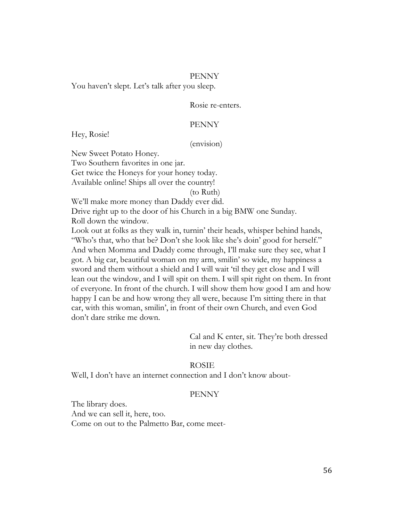#### PENNY

You haven't slept. Let's talk after you sleep.

Rosie re-enters.

### PENNY

Hey, Rosie!

(envision)

New Sweet Potato Honey.

Two Southern favorites in one jar.

Get twice the Honeys for your honey today.

Available online! Ships all over the country!

(to Ruth)

We'll make more money than Daddy ever did.

Drive right up to the door of his Church in a big BMW one Sunday. Roll down the window.

Look out at folks as they walk in, turnin' their heads, whisper behind hands, "Who's that, who that be? Don't she look like she's doin' good for herself." And when Momma and Daddy come through, I'll make sure they see, what I got. A big car, beautiful woman on my arm, smilin' so wide, my happiness a sword and them without a shield and I will wait 'til they get close and I will lean out the window, and I will spit on them. I will spit right on them. In front of everyone. In front of the church. I will show them how good I am and how happy I can be and how wrong they all were, because I'm sitting there in that car, with this woman, smilin', in front of their own Church, and even God don't dare strike me down.

> Cal and K enter, sit. They're both dressed in new day clothes.

## ROSIE

Well, I don't have an internet connection and I don't know about-

#### PENNY

The library does. And we can sell it, here, too. Come on out to the Palmetto Bar, come meet-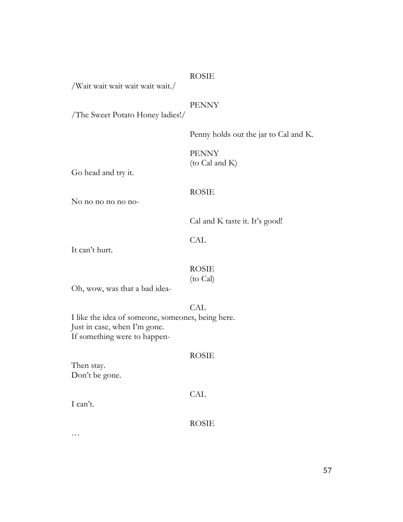## ROSIE

/Wait wait wait wait wait wait./

## PENNY

/The Sweet Potato Honey ladies!/

Penny holds out the jar to Cal and K.

PENNY (to Cal and K)

Go head and try it.

## ROSIE

No no no no no no-

Cal and K taste it. It's good!

CAL

It can't hurt.

## ROSIE (to Cal)

Oh, wow, was that a bad idea-

## CAL

I like the idea of someone, someones, being here. Just in case, when I'm gone. If something were to happen-

## ROSIE

Then stay. Don't be gone.

## CAL

I can't.

## ROSIE

…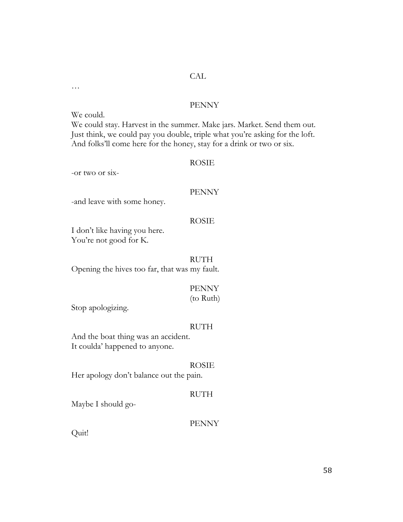## CAL

PENNY

We could.

…

We could stay. Harvest in the summer. Make jars. Market. Send them out. Just think, we could pay you double, triple what you're asking for the loft. And folks'll come here for the honey, stay for a drink or two or six.

### ROSIE

-or two or six-

### PENNY

-and leave with some honey.

### ROSIE

I don't like having you here. You're not good for K.

#### RUTH

Opening the hives too far, that was my fault.

### PENNY

(to Ruth)

Stop apologizing.

#### RUTH

And the boat thing was an accident. It coulda' happened to anyone.

#### ROSIE

Her apology don't balance out the pain.

#### RUTH

Maybe I should go-

### PENNY

Quit!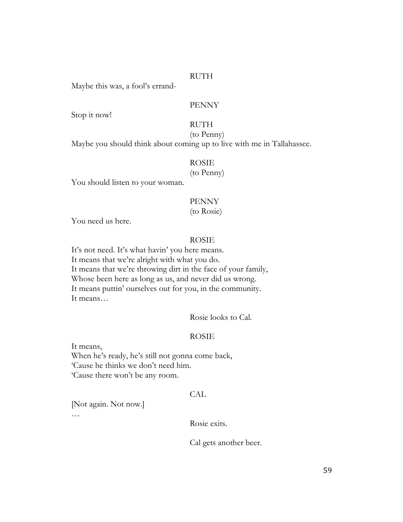## RUTH

Maybe this was, a fool's errand-

## PENNY

Stop it now!

## RUTH

(to Penny)

Maybe you should think about coming up to live with me in Tallahassee.

## ROSIE

(to Penny)

You should listen to your woman.

## PENNY

(to Rosie)

You need us here.

## ROSIE

It's not need. It's what havin' you here means. It means that we're alright with what you do. It means that we're throwing dirt in the face of your family, Whose been here as long as us, and never did us wrong. It means puttin' ourselves out for you, in the community. It means…

Rosie looks to Cal.

## ROSIE

It means, When he's ready, he's still not gonna come back, 'Cause he thinks we don't need him. 'Cause there won't be any room.

## CAL

[Not again. Not now.]

…

Rosie exits.

Cal gets another beer.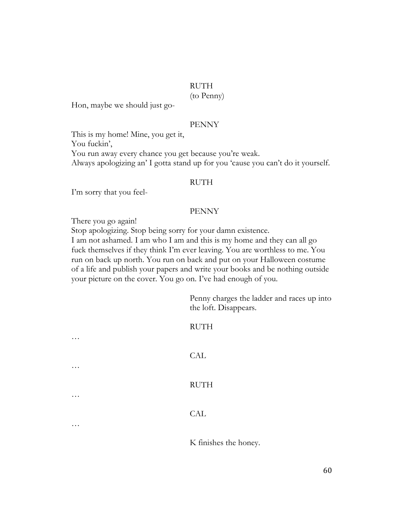### RUTH

## (to Penny)

Hon, maybe we should just go-

## PENNY

This is my home! Mine, you get it, You fuckin', You run away every chance you get because you're weak. Always apologizing an' I gotta stand up for you 'cause you can't do it yourself.

#### RUTH

I'm sorry that you feel-

## PENNY

There you go again!

…

…

…

…

Stop apologizing. Stop being sorry for your damn existence.

I am not ashamed. I am who I am and this is my home and they can all go fuck themselves if they think I'm ever leaving. You are worthless to me. You run on back up north. You run on back and put on your Halloween costume of a life and publish your papers and write your books and be nothing outside your picture on the cover. You go on. I've had enough of you.

> Penny charges the ladder and races up into the loft. Disappears.

RUTH

CAL

RUTH

CAL

K finishes the honey.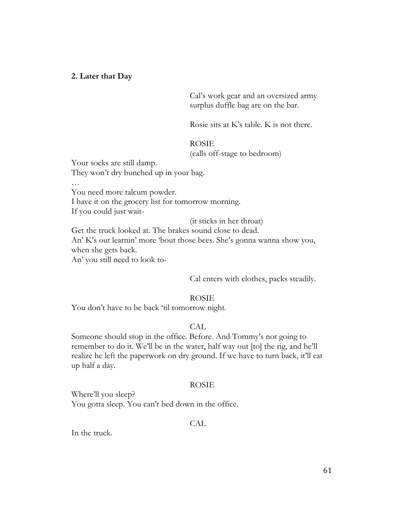## **2. Later that Day**

Cal's work gear and an oversized army surplus duffle bag are on the bar.

Rosie sits at K's table. K is not there.

ROSIE

(calls off-stage to bedroom)

Your socks are still damp. They won't dry bunched up in your bag.

…

You need more talcum powder. I have it on the grocery list for tomorrow morning. If you could just wait-

(it sticks in her throat)

Get the truck looked at. The brakes sound close to dead. An' K's out learnin' more 'bout those bees. She's gonna wanna show you, when she gets back. An' you still need to look to-

Cal enters with clothes, packs steadily.

## ROSIE

You don't have to be back 'til tomorrow night.

## CAL

Someone should stop in the office. Before. And Tommy's not going to remember to do it. We'll be in the water, half way out [to] the rig, and he'll realize he left the paperwork on dry ground. If we have to turn back, it'll eat up half a day.

## ROSIE

Where'll you sleep? You gotta sleep. You can't bed down in the office.

## CAL

In the truck.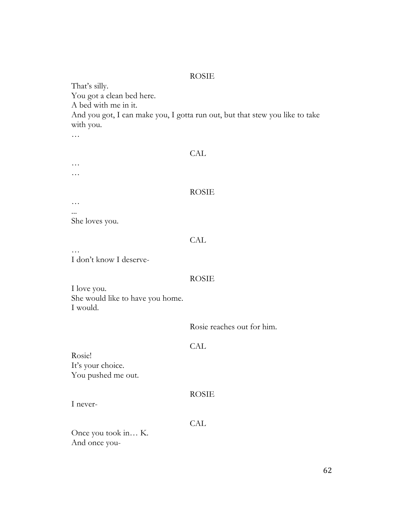## ROSIE

That's silly. You got a clean bed here. A bed with me in it. And you got, I can make you, I gotta run out, but that stew you like to take with you. …

## CAL

## ROSIE

… ...

… …

She loves you.

## CAL

… I don't know I deserve-

## ROSIE

I love you. She would like to have you home. I would.

Rosie reaches out for him.

## CAL

Rosie! It's your choice. You pushed me out.

## ROSIE

I never-

## CAL

Once you took in… K. And once you-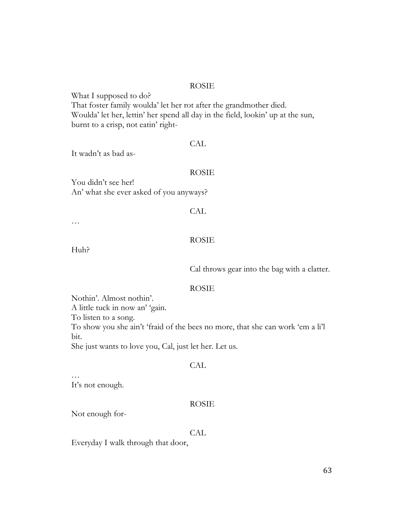## ROSIE

What I supposed to do? That foster family woulda' let her rot after the grandmother died. Woulda' let her, lettin' her spend all day in the field, lookin' up at the sun, burnt to a crisp, not eatin' right-

### CAL

It wadn't as bad as-

### ROSIE

You didn't see her! An' what she ever asked of you anyways?

## CAL

…

## ROSIE

Huh?

Cal throws gear into the bag with a clatter.

### ROSIE

Nothin'. Almost nothin'.

A little tuck in now an' 'gain.

To listen to a song.

To show you she ain't 'fraid of the bees no more, that she can work 'em a li'l bit.

She just wants to love you, Cal, just let her. Let us.

## CAL

It's not enough.

…

### ROSIE

Not enough for-

## CAL

Everyday I walk through that door,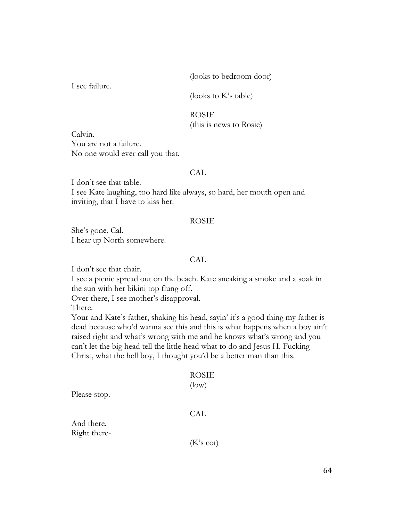(looks to bedroom door)

I see failure.

(looks to K's table)

### ROSIE

(this is news to Rosie)

Calvin. You are not a failure. No one would ever call you that.

## CAL

I don't see that table.

I see Kate laughing, too hard like always, so hard, her mouth open and inviting, that I have to kiss her.

## ROSIE

She's gone, Cal. I hear up North somewhere.

## CAL

I don't see that chair.

I see a picnic spread out on the beach. Kate sneaking a smoke and a soak in the sun with her bikini top flung off.

Over there, I see mother's disapproval.

There.

Your and Kate's father, shaking his head, sayin' it's a good thing my father is dead because who'd wanna see this and this is what happens when a boy ain't raised right and what's wrong with me and he knows what's wrong and you can't let the big head tell the little head what to do and Jesus H. Fucking Christ, what the hell boy, I thought you'd be a better man than this.

## ROSIE

#### (low)

Please stop.

## CAL

And there. Right there-

(K's cot)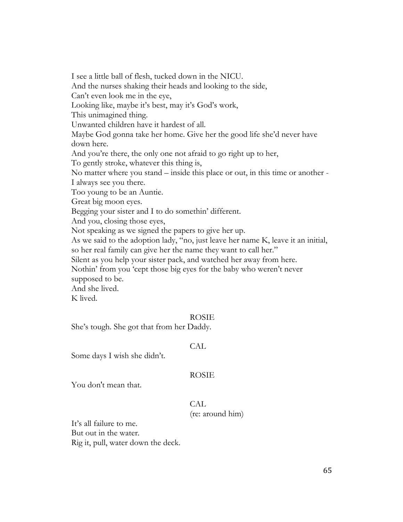I see a little ball of flesh, tucked down in the NICU. And the nurses shaking their heads and looking to the side, Can't even look me in the eye, Looking like, maybe it's best, may it's God's work, This unimagined thing. Unwanted children have it hardest of all. Maybe God gonna take her home. Give her the good life she'd never have down here. And you're there, the only one not afraid to go right up to her, To gently stroke, whatever this thing is, No matter where you stand – inside this place or out, in this time or another - I always see you there. Too young to be an Auntie. Great big moon eyes. Begging your sister and I to do somethin' different. And you, closing those eyes, Not speaking as we signed the papers to give her up. As we said to the adoption lady, "no, just leave her name K, leave it an initial, so her real family can give her the name they want to call her." Silent as you help your sister pack, and watched her away from here. Nothin' from you 'cept those big eyes for the baby who weren't never supposed to be. And she lived. K lived.

#### ROSIE

She's tough. She got that from her Daddy.

#### CAL

Some days I wish she didn't.

## ROSIE

You don't mean that.

CAL (re: around him)

It's all failure to me. But out in the water. Rig it, pull, water down the deck.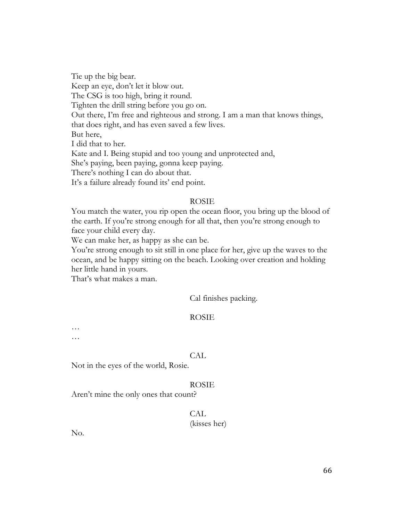Tie up the big bear. Keep an eye, don't let it blow out. The CSG is too high, bring it round. Tighten the drill string before you go on. Out there, I'm free and righteous and strong. I am a man that knows things, that does right, and has even saved a few lives. But here, I did that to her. Kate and I. Being stupid and too young and unprotected and, She's paying, been paying, gonna keep paying. There's nothing I can do about that. It's a failure already found its' end point.

### ROSIE

You match the water, you rip open the ocean floor, you bring up the blood of the earth. If you're strong enough for all that, then you're strong enough to face your child every day.

We can make her, as happy as she can be.

You're strong enough to sit still in one place for her, give up the waves to the ocean, and be happy sitting on the beach. Looking over creation and holding her little hand in yours.

That's what makes a man.

### Cal finishes packing.

## ROSIE

… …

#### CAL

Not in the eyes of the world, Rosie.

### ROSIE

Aren't mine the only ones that count?

## CAL

(kisses her)

No.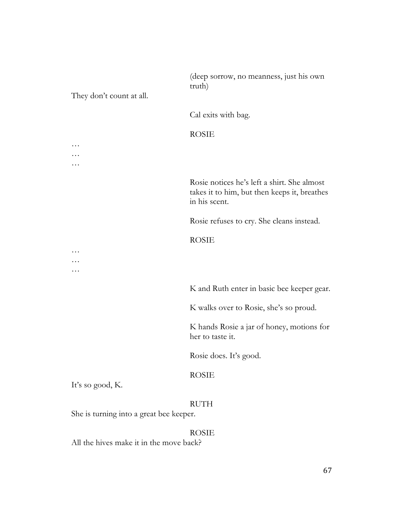|                                         | (deep sorrow, no meanness, just his own<br>truth)                                                            |
|-----------------------------------------|--------------------------------------------------------------------------------------------------------------|
| They don't count at all.                |                                                                                                              |
|                                         | Cal exits with bag.                                                                                          |
|                                         | <b>ROSIE</b>                                                                                                 |
|                                         |                                                                                                              |
|                                         |                                                                                                              |
|                                         | Rosie notices he's left a shirt. She almost<br>takes it to him, but then keeps it, breathes<br>in his scent. |
|                                         | Rosie refuses to cry. She cleans instead.                                                                    |
|                                         | <b>ROSIE</b>                                                                                                 |
|                                         |                                                                                                              |
|                                         |                                                                                                              |
|                                         | K and Ruth enter in basic bee keeper gear.                                                                   |
|                                         | K walks over to Rosie, she's so proud.                                                                       |
|                                         | K hands Rosie a jar of honey, motions for<br>her to taste it.                                                |
|                                         | Rosie does. It's good.                                                                                       |
| It's so good, K.                        | <b>ROSIE</b>                                                                                                 |
| She is turning into a great bee keeper. | <b>RUTH</b>                                                                                                  |

# ROSIE

All the hives make it in the move back?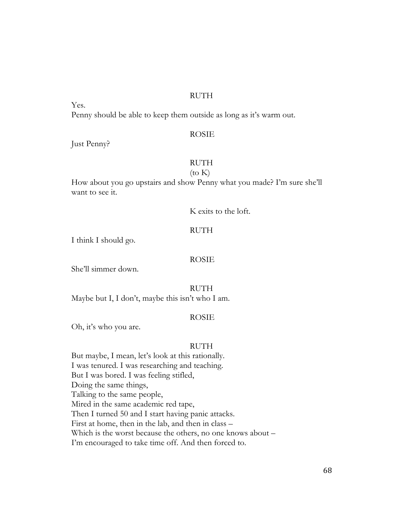## RUTH

Yes.

Penny should be able to keep them outside as long as it's warm out.

## ROSIE

Just Penny?

## RUTH

 $($ to K $)$ 

How about you go upstairs and show Penny what you made? I'm sure she'll want to see it.

K exits to the loft.

## RUTH

I think I should go.

#### ROSIE

She'll simmer down.

#### RUTH

Maybe but I, I don't, maybe this isn't who I am.

### ROSIE

Oh, it's who you are.

#### RUTH

But maybe, I mean, let's look at this rationally. I was tenured. I was researching and teaching. But I was bored. I was feeling stifled, Doing the same things, Talking to the same people, Mired in the same academic red tape, Then I turned 50 and I start having panic attacks. First at home, then in the lab, and then in class – Which is the worst because the others, no one knows about – I'm encouraged to take time off. And then forced to.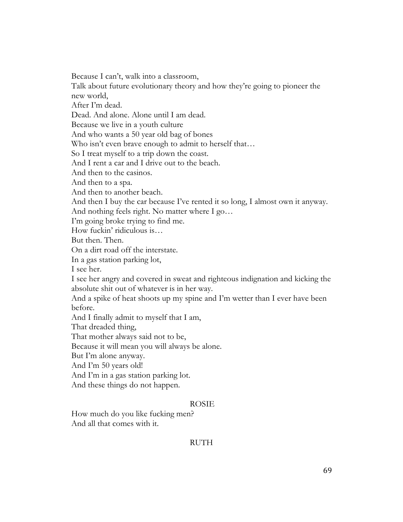Talk about future evolutionary theory and how they're going to pioneer the new world, After I'm dead. Dead. And alone. Alone until I am dead. Because we live in a youth culture And who wants a 50 year old bag of bones Who isn't even brave enough to admit to herself that… So I treat myself to a trip down the coast. And I rent a car and I drive out to the beach. And then to the casinos. And then to a spa. And then to another beach. And then I buy the car because I've rented it so long, I almost own it anyway. And nothing feels right. No matter where I go… I'm going broke trying to find me. How fuckin' ridiculous is… But then. Then. On a dirt road off the interstate. In a gas station parking lot, I see her. I see her angry and covered in sweat and righteous indignation and kicking the absolute shit out of whatever is in her way. And a spike of heat shoots up my spine and I'm wetter than I ever have been before. And I finally admit to myself that I am, That dreaded thing, That mother always said not to be, Because it will mean you will always be alone. But I'm alone anyway. And I'm 50 years old! And I'm in a gas station parking lot. And these things do not happen. ROSIE How much do you like fucking men? And all that comes with it.

Because I can't, walk into a classroom,

## RUTH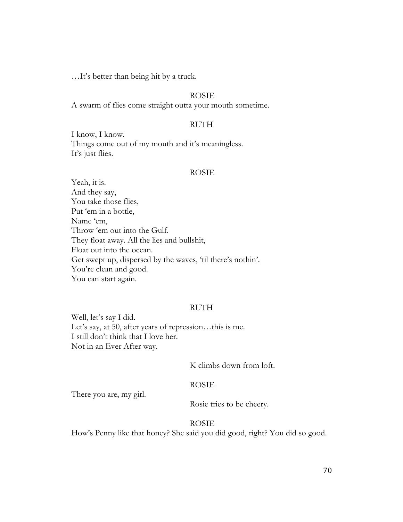…It's better than being hit by a truck.

## ROSIE

A swarm of flies come straight outta your mouth sometime.

### RUTH

I know, I know. Things come out of my mouth and it's meaningless. It's just flies.

#### ROSIE

Yeah, it is. And they say, You take those flies, Put 'em in a bottle, Name 'em, Throw 'em out into the Gulf. They float away. All the lies and bullshit, Float out into the ocean. Get swept up, dispersed by the waves, 'til there's nothin'. You're clean and good. You can start again.

## RUTH

Well, let's say I did. Let's say, at 50, after years of repression…this is me. I still don't think that I love her. Not in an Ever After way.

K climbs down from loft.

## ROSIE

There you are, my girl.

Rosie tries to be cheery.

## ROSIE

How's Penny like that honey? She said you did good, right? You did so good.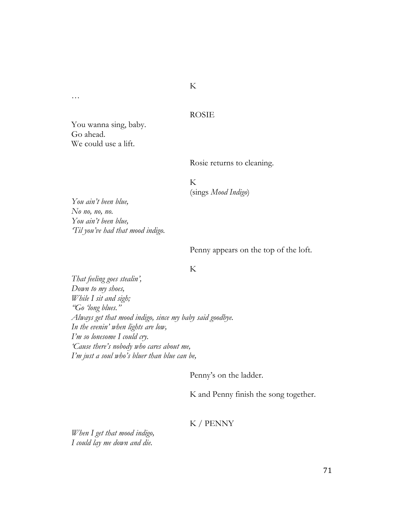## K

#### ROSIE

You wanna sing, baby. Go ahead. We could use a lift.

…

Rosie returns to cleaning.

K

(sings *Mood Indigo*)

*You ain't been blue, No no, no, no. You ain't been blue, 'Til you've had that mood indigo.*

Penny appears on the top of the loft.

## K

*That feeling goes stealin', Down to my shoes, While I sit and sigh; "Go 'long blues." Always get that mood indigo, since my baby said goodbye. In the evenin' when lights are low, I'm so lonesome I could cry. 'Cause there's nobody who cares about me, I'm just a soul who's bluer than blue can be,*

Penny's on the ladder.

K and Penny finish the song together.

## K / PENNY

*When I get that mood indigo, I could lay me down and die.*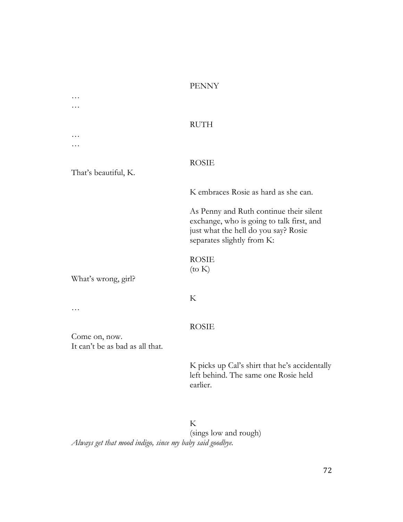|                                                  | <b>PENNY</b>                                                                                                                                               |
|--------------------------------------------------|------------------------------------------------------------------------------------------------------------------------------------------------------------|
|                                                  |                                                                                                                                                            |
|                                                  | <b>RUTH</b>                                                                                                                                                |
|                                                  |                                                                                                                                                            |
|                                                  |                                                                                                                                                            |
| That's beautiful, K.                             | <b>ROSIE</b>                                                                                                                                               |
|                                                  | K embraces Rosie as hard as she can.                                                                                                                       |
|                                                  | As Penny and Ruth continue their silent<br>exchange, who is going to talk first, and<br>just what the hell do you say? Rosie<br>separates slightly from K: |
|                                                  | <b>ROSIE</b><br>$($ to K $)$                                                                                                                               |
| What's wrong, girl?                              |                                                                                                                                                            |
|                                                  | K                                                                                                                                                          |
|                                                  |                                                                                                                                                            |
|                                                  | <b>ROSIE</b>                                                                                                                                               |
| Come on, now.<br>It can't be as bad as all that. |                                                                                                                                                            |
|                                                  | K picks up Cal's shirt that he's accidentally<br>left behind. The same one Rosie held<br>earlier.                                                          |
|                                                  |                                                                                                                                                            |

## K

(sings low and rough) *Always get that mood indigo, since my baby said goodbye.*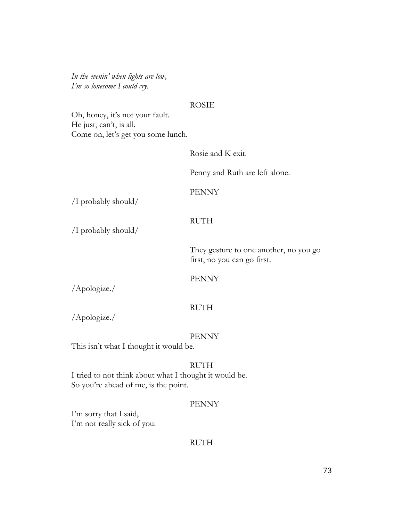*In the evenin' when lights are low, I'm so lonesome I could cry.*

## ROSIE

Oh, honey, it's not your fault. He just, can't, is all. Come on, let's get you some lunch.

Rosie and K exit.

Penny and Ruth are left alone.

PENNY

/I probably should/

# RUTH

/I probably should/

They gesture to one another, no you go first, no you can go first.

## PENNY

/Apologize./

# RUTH

/Apologize./

# PENNY

This isn't what I thought it would be.

### RUTH

I tried to not think about what I thought it would be. So you're ahead of me, is the point.

## PENNY

I'm sorry that I said, I'm not really sick of you.

## RUTH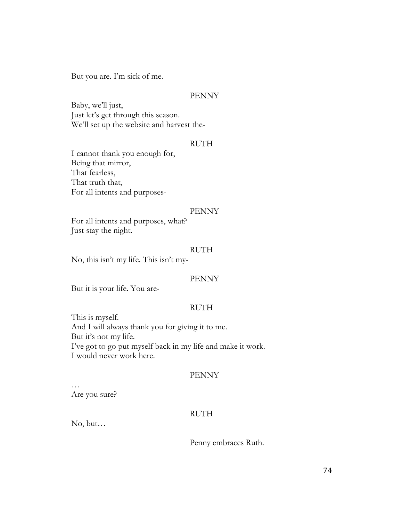But you are. I'm sick of me.

### PENNY

Baby, we'll just, Just let's get through this season. We'll set up the website and harvest the-

#### RUTH

I cannot thank you enough for, Being that mirror, That fearless, That truth that, For all intents and purposes-

## PENNY

For all intents and purposes, what? Just stay the night.

#### RUTH

No, this isn't my life. This isn't my-

#### PENNY

But it is your life. You are-

### RUTH

This is myself. And I will always thank you for giving it to me. But it's not my life. I've got to go put myself back in my life and make it work. I would never work here.

## PENNY

Are you sure?

…

## RUTH

No, but…

Penny embraces Ruth.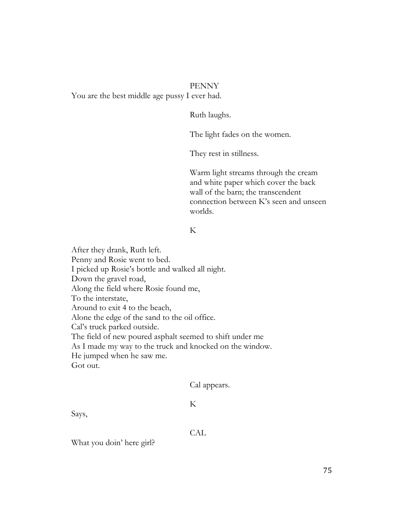#### PENNY

You are the best middle age pussy I ever had.

Ruth laughs.

The light fades on the women.

They rest in stillness.

Warm light streams through the cream and white paper which cover the back wall of the barn; the transcendent connection between K's seen and unseen worlds.

#### K

After they drank, Ruth left. Penny and Rosie went to bed. I picked up Rosie's bottle and walked all night. Down the gravel road, Along the field where Rosie found me, To the interstate, Around to exit 4 to the beach, Alone the edge of the sand to the oil office. Cal's truck parked outside. The field of new poured asphalt seemed to shift under me As I made my way to the truck and knocked on the window. He jumped when he saw me. Got out.

## Cal appears.

#### K

Says,

## CAL

What you doin' here girl?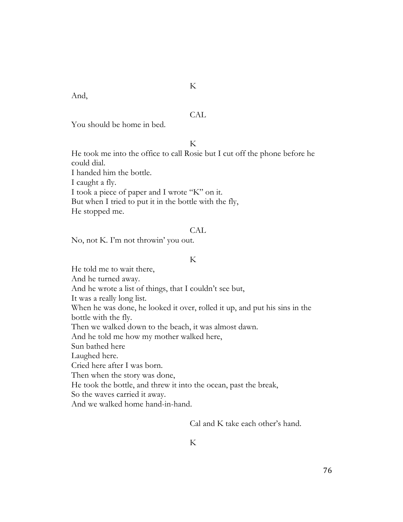K

And,

### CAL

You should be home in bed.

K

He took me into the office to call Rosie but I cut off the phone before he could dial. I handed him the bottle. I caught a fly. I took a piece of paper and I wrote "K" on it. But when I tried to put it in the bottle with the fly, He stopped me.

#### CAL

No, not K. I'm not throwin' you out.

### K

He told me to wait there, And he turned away. And he wrote a list of things, that I couldn't see but, It was a really long list. When he was done, he looked it over, rolled it up, and put his sins in the bottle with the fly. Then we walked down to the beach, it was almost dawn. And he told me how my mother walked here, Sun bathed here Laughed here. Cried here after I was born. Then when the story was done, He took the bottle, and threw it into the ocean, past the break, So the waves carried it away.

And we walked home hand-in-hand.

Cal and K take each other's hand.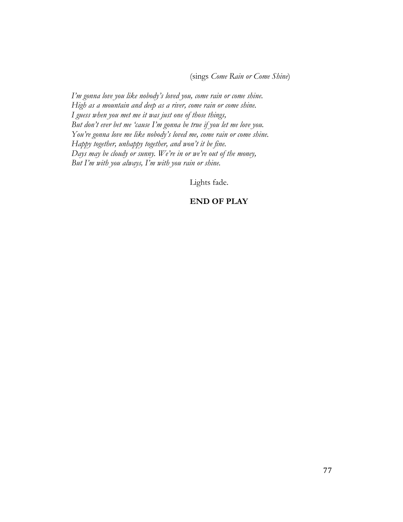(sings *Come Rain or Come Shine*)

*I'm gonna love you like nobody's loved you, come rain or come shine. High as a mountain and deep as a river, come rain or come shine. I guess when you met me it was just one of those things, But don't ever bet me 'cause I'm gonna be true if you let me love you. You're gonna love me like nobody's loved me, come rain or come shine. Happy together, unhappy together, and won't it be fine. Days may be cloudy or sunny. We're in or we're out of the money, But I'm with you always, I'm with you rain or shine.*

Lights fade.

# **END OF PLAY**